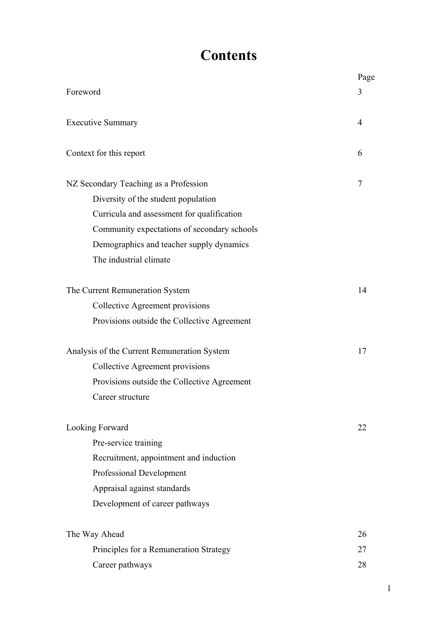# **Contents**

|                                             | Page |  |  |  |  |
|---------------------------------------------|------|--|--|--|--|
| Foreword                                    | 3    |  |  |  |  |
| <b>Executive Summary</b>                    |      |  |  |  |  |
| Context for this report                     | 6    |  |  |  |  |
| NZ Secondary Teaching as a Profession       | 7    |  |  |  |  |
| Diversity of the student population         |      |  |  |  |  |
| Curricula and assessment for qualification  |      |  |  |  |  |
| Community expectations of secondary schools |      |  |  |  |  |
| Demographics and teacher supply dynamics    |      |  |  |  |  |
| The industrial climate                      |      |  |  |  |  |
| The Current Remuneration System             | 14   |  |  |  |  |
| Collective Agreement provisions             |      |  |  |  |  |
| Provisions outside the Collective Agreement |      |  |  |  |  |
| Analysis of the Current Remuneration System | 17   |  |  |  |  |
| Collective Agreement provisions             |      |  |  |  |  |
| Provisions outside the Collective Agreement |      |  |  |  |  |
| Career structure                            |      |  |  |  |  |
| Looking Forward                             | 22   |  |  |  |  |
| Pre-service training                        |      |  |  |  |  |
| Recruitment, appointment and induction      |      |  |  |  |  |
| <b>Professional Development</b>             |      |  |  |  |  |
| Appraisal against standards                 |      |  |  |  |  |
| Development of career pathways              |      |  |  |  |  |
| The Way Ahead                               | 26   |  |  |  |  |
| Principles for a Remuneration Strategy      | 27   |  |  |  |  |
| Career pathways                             | 28   |  |  |  |  |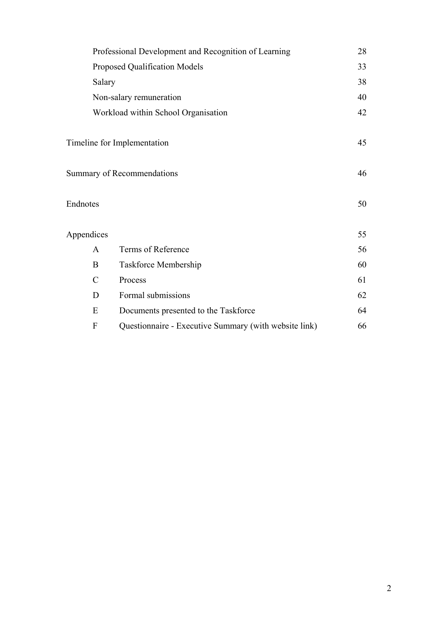|                                     | Professional Development and Recognition of Learning  |    |  |  |  |  |
|-------------------------------------|-------------------------------------------------------|----|--|--|--|--|
|                                     | Proposed Qualification Models                         |    |  |  |  |  |
| Salary                              |                                                       |    |  |  |  |  |
|                                     | Non-salary remuneration                               |    |  |  |  |  |
| Workload within School Organisation |                                                       |    |  |  |  |  |
|                                     | Timeline for Implementation                           | 45 |  |  |  |  |
|                                     | Summary of Recommendations                            | 46 |  |  |  |  |
| Endnotes                            |                                                       | 50 |  |  |  |  |
| Appendices                          |                                                       | 55 |  |  |  |  |
| $\mathsf{A}$                        | Terms of Reference                                    | 56 |  |  |  |  |
| B                                   | Taskforce Membership                                  | 60 |  |  |  |  |
| $\mathcal{C}$                       | Process                                               | 61 |  |  |  |  |
| D                                   | Formal submissions                                    | 62 |  |  |  |  |
| E                                   | Documents presented to the Taskforce                  | 64 |  |  |  |  |
| F                                   | Questionnaire - Executive Summary (with website link) | 66 |  |  |  |  |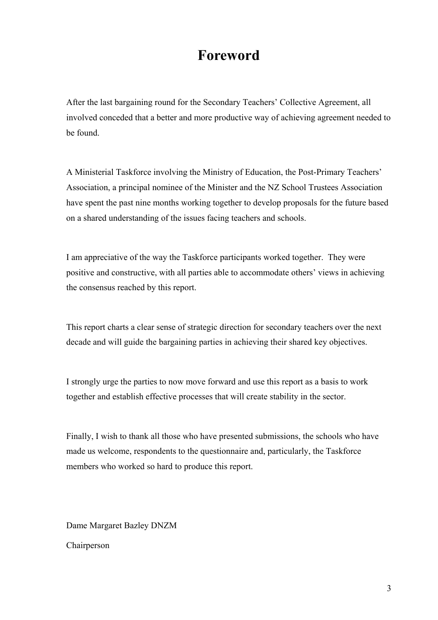# **Foreword**

After the last bargaining round for the Secondary Teachers' Collective Agreement, all involved conceded that a better and more productive way of achieving agreement needed to be found.

A Ministerial Taskforce involving the Ministry of Education, the Post-Primary Teachers' Association, a principal nominee of the Minister and the NZ School Trustees Association have spent the past nine months working together to develop proposals for the future based on a shared understanding of the issues facing teachers and schools.

I am appreciative of the way the Taskforce participants worked together. They were positive and constructive, with all parties able to accommodate others' views in achieving the consensus reached by this report.

This report charts a clear sense of strategic direction for secondary teachers over the next decade and will guide the bargaining parties in achieving their shared key objectives.

I strongly urge the parties to now move forward and use this report as a basis to work together and establish effective processes that will create stability in the sector.

Finally, I wish to thank all those who have presented submissions, the schools who have made us welcome, respondents to the questionnaire and, particularly, the Taskforce members who worked so hard to produce this report.

Dame Margaret Bazley DNZM

Chairperson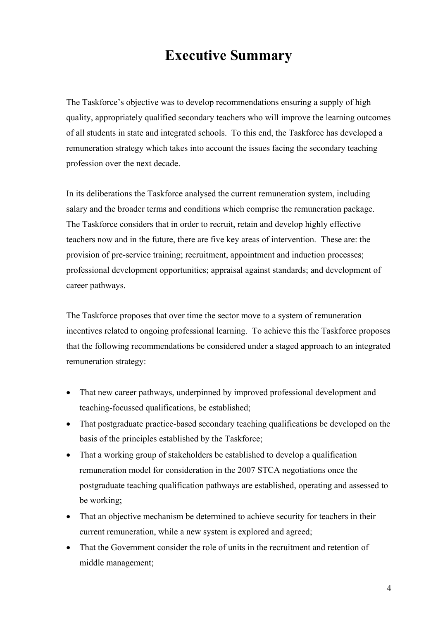# **Executive Summary**

The Taskforce's objective was to develop recommendations ensuring a supply of high quality, appropriately qualified secondary teachers who will improve the learning outcomes of all students in state and integrated schools. To this end, the Taskforce has developed a remuneration strategy which takes into account the issues facing the secondary teaching profession over the next decade.

In its deliberations the Taskforce analysed the current remuneration system, including salary and the broader terms and conditions which comprise the remuneration package. The Taskforce considers that in order to recruit, retain and develop highly effective teachers now and in the future, there are five key areas of intervention. These are: the provision of pre-service training; recruitment, appointment and induction processes; professional development opportunities; appraisal against standards; and development of career pathways.

The Taskforce proposes that over time the sector move to a system of remuneration incentives related to ongoing professional learning. To achieve this the Taskforce proposes that the following recommendations be considered under a staged approach to an integrated remuneration strategy:

- That new career pathways, underpinned by improved professional development and teaching-focussed qualifications, be established;
- That postgraduate practice-based secondary teaching qualifications be developed on the basis of the principles established by the Taskforce;
- That a working group of stakeholders be established to develop a qualification remuneration model for consideration in the 2007 STCA negotiations once the postgraduate teaching qualification pathways are established, operating and assessed to be working;
- That an objective mechanism be determined to achieve security for teachers in their current remuneration, while a new system is explored and agreed;
- That the Government consider the role of units in the recruitment and retention of middle management;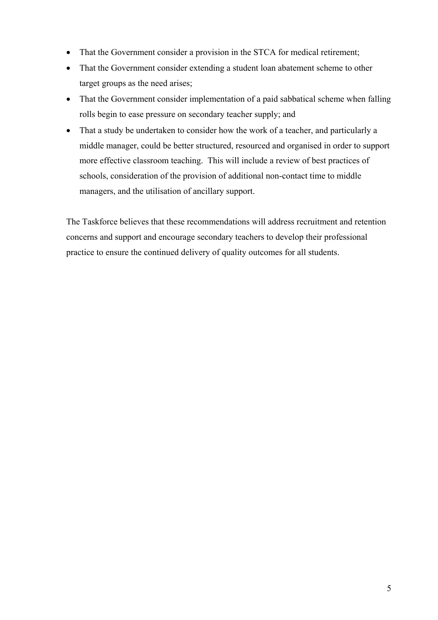- That the Government consider a provision in the STCA for medical retirement;
- That the Government consider extending a student loan abatement scheme to other target groups as the need arises;
- That the Government consider implementation of a paid sabbatical scheme when falling rolls begin to ease pressure on secondary teacher supply; and
- That a study be undertaken to consider how the work of a teacher, and particularly a middle manager, could be better structured, resourced and organised in order to support more effective classroom teaching. This will include a review of best practices of schools, consideration of the provision of additional non-contact time to middle managers, and the utilisation of ancillary support.

The Taskforce believes that these recommendations will address recruitment and retention concerns and support and encourage secondary teachers to develop their professional practice to ensure the continued delivery of quality outcomes for all students.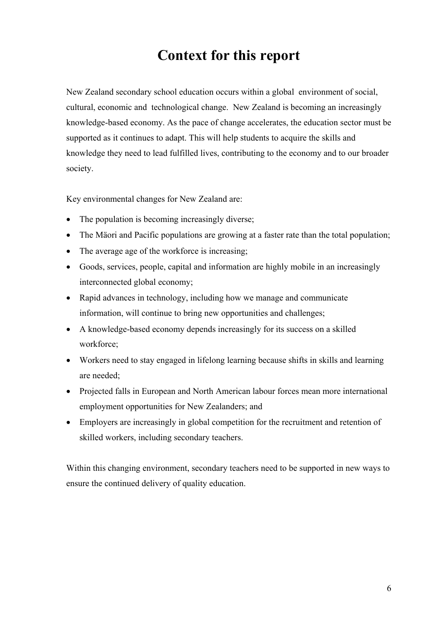# **Context for this report**

New Zealand secondary school education occurs within a global environment of social, cultural, economic and technological change. New Zealand is becoming an increasingly knowledge-based economy. As the pace of change accelerates, the education sector must be supported as it continues to adapt. This will help students to acquire the skills and knowledge they need to lead fulfilled lives, contributing to the economy and to our broader society.

Key environmental changes for New Zealand are:

- The population is becoming increasingly diverse;
- The Mäori and Pacific populations are growing at a faster rate than the total population;
- The average age of the workforce is increasing;
- Goods, services, people, capital and information are highly mobile in an increasingly interconnected global economy;
- Rapid advances in technology, including how we manage and communicate information, will continue to bring new opportunities and challenges;
- A knowledge-based economy depends increasingly for its success on a skilled workforce;
- Workers need to stay engaged in lifelong learning because shifts in skills and learning are needed;
- Projected falls in European and North American labour forces mean more international employment opportunities for New Zealanders; and
- Employers are increasingly in global competition for the recruitment and retention of skilled workers, including secondary teachers.

Within this changing environment, secondary teachers need to be supported in new ways to ensure the continued delivery of quality education.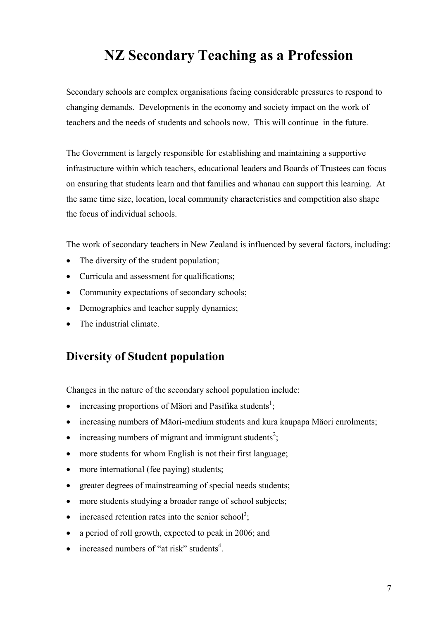# **NZ Secondary Teaching as a Profession**

Secondary schools are complex organisations facing considerable pressures to respond to changing demands. Developments in the economy and society impact on the work of teachers and the needs of students and schools now. This will continue in the future.

The Government is largely responsible for establishing and maintaining a supportive infrastructure within which teachers, educational leaders and Boards of Trustees can focus on ensuring that students learn and that families and whanau can support this learning. At the same time size, location, local community characteristics and competition also shape the focus of individual schools.

The work of secondary teachers in New Zealand is influenced by several factors, including:

- The diversity of the student population;
- Curricula and assessment for qualifications;
- Community expectations of secondary schools;
- Demographics and teacher supply dynamics:
- The industrial climate.

## **Diversity of Student population**

Changes in the nature of the secondary school population include:

- $\bullet$  increasing proportions of Mäori and Pasifika students<sup>[1](#page-53-0)</sup>;
- increasing numbers of Mäori-medium students and kura kaupapa Mäori enrolments;
- $\bullet$  increasing numbers of migrant and immigrant students<sup>[2](#page-53-1)</sup>;
- more students for whom English is not their first language;
- more international (fee paying) students;
- greater degrees of mainstreaming of special needs students;
- more students studying a broader range of school subjects;
- $\bullet$  increased retention rates into the senior school<sup>[3](#page-53-2)</sup>;
- a period of roll growth, expected to peak in 2006; and
- $\bullet$  increased numbers of "at risk" students<sup>[4](#page-53-3)</sup>.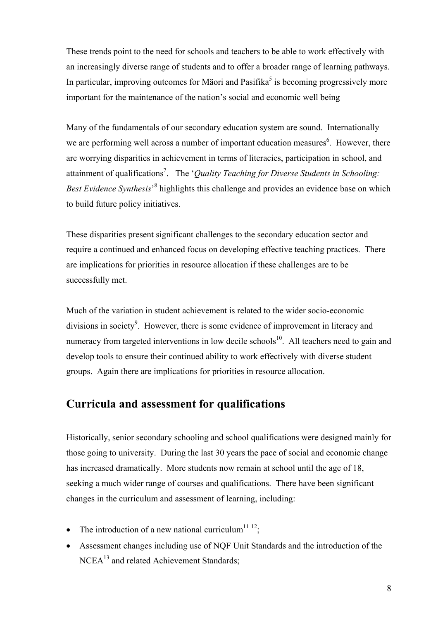These trends point to the need for schools and teachers to be able to work effectively with an increasingly diverse range of students and to offer a broader range of learning pathways. In particular, improving outcomes for Mäori and Pasifika<sup>5</sup> is becoming progressively more important for the maintenance of the nation's social and economic well being

Many of the fundamentals of our secondary education system are sound. Internationally we are performing well across a number of important education measures<sup>6</sup>. However, there are worrying disparities in achievement in terms of literacies, participation in school, and attainment of qualifications<sup>7</sup>. The '*Quality Teaching for Diverse Students in Schooling*: Best Evidence Synthesis<sup>,[8](#page-53-7)</sup> highlights this challenge and provides an evidence base on which to build future policy initiatives.

These disparities present significant challenges to the secondary education sector and require a continued and enhanced focus on developing effective teaching practices. There are implications for priorities in resource allocation if these challenges are to be successfully met.

Much of the variation in student achievement is related to the wider socio-economic divisions in society<sup>9</sup>[.](#page-53-8) However, there is some evidence of improvement in literacy and numeracy from targeted interventions in low decile schools<sup>10</sup>. All teachers need to gain and develop tools to ensure their continued ability to work effectively with diverse student groups. Again there are implications for priorities in resource allocation.

## **Curricula and assessment for qualifications**

Historically, senior secondary schooling and school qualifications were designed mainly for those going to university. During the last 30 years the pace of social and economic change has increased dramatically. More students now remain at school until the age of 18, seeking a much wider range of courses and qualifications. There have been significant changes in the curriculum and assessment of learning, including:

- The introduction of a new national curriculum<sup>11 12</sup>;
- Assessment changes including use of NQF Unit Standards and the introduction of the NCEA<sup>13</sup> and related Achievement Standards: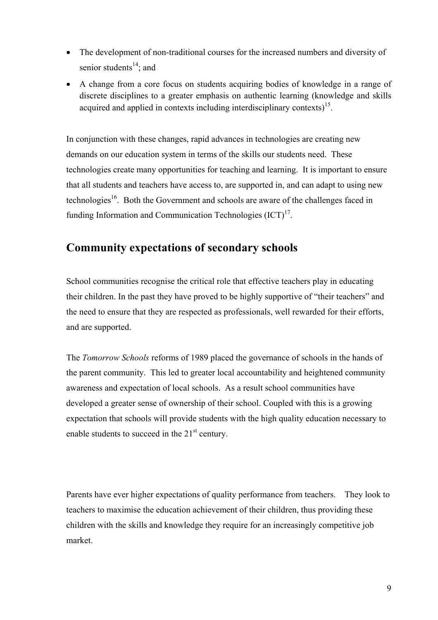- The development of non-traditional courses for the increased numbers and diversity of senior students $14$ ; and
- A change from a core focus on students acquiring bodies of knowledge in a range of discrete disciplines to a greater emphasis on authentic learning (knowledge and skills acquired and applied in contexts including interdisciplinary contexts)<sup>15</sup>.

In conjunction with these changes, rapid advances in technologies are creating new demands on our education system in terms of the skills our students need. These technologies create many opportunities for teaching and learning. It is important to ensure that all students and teachers have access to, are supported in, and can adapt to using new technologies<sup>16</sup>. Both the Government and schools are aware of the challenges faced in funding Information and Communication Technologies  $(ICT)^{17}$ .

## **Community expectations of secondary schools**

School communities recognise the critical role that effective teachers play in educating their children. In the past they have proved to be highly supportive of "their teachers" and the need to ensure that they are respected as professionals, well rewarded for their efforts, and are supported.

The *Tomorrow Schools* reforms of 1989 placed the governance of schools in the hands of the parent community. This led to greater local accountability and heightened community awareness and expectation of local schools. As a result school communities have developed a greater sense of ownership of their school. Coupled with this is a growing expectation that schools will provide students with the high quality education necessary to enable students to succeed in the  $21<sup>st</sup>$  century.

Parents have ever higher expectations of quality performance from teachers. They look to teachers to maximise the education achievement of their children, thus providing these children with the skills and knowledge they require for an increasingly competitive job market.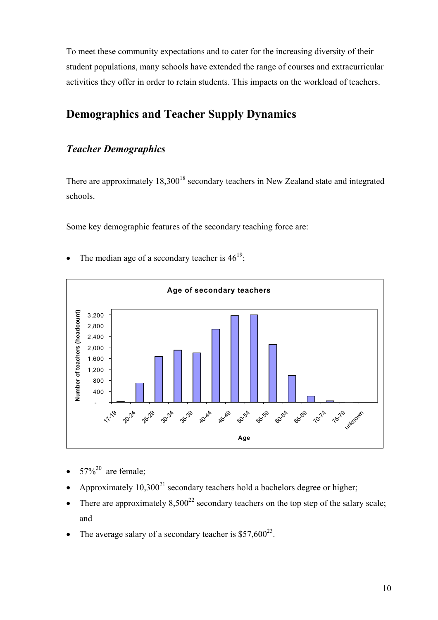To meet these community expectations and to cater for the increasing diversity of their student populations, many schools have extended the range of courses and extracurricular activities they offer in order to retain students. This impacts on the workload of teachers.

## **Demographics and Teacher Supply Dynamics**

### *Teacher Demographics*

There are approximately  $18,300^{18}$  secondary teachers in New Zealand state and integrated schools.

Some key demographic features of the secondary teaching force are:



• The median age of a secondary teacher is  $46^{19}$ .

- $57\%^{20}$  are female;
- Approximately  $10,300^{21}$  secondary teachers hold a bachelors degree or higher;
- There are approximately  $8.500^{22}$  secondary teachers on the top step of the salary scale; and
- The average salary of a secondary teacher is  $$57,600^{23}$ .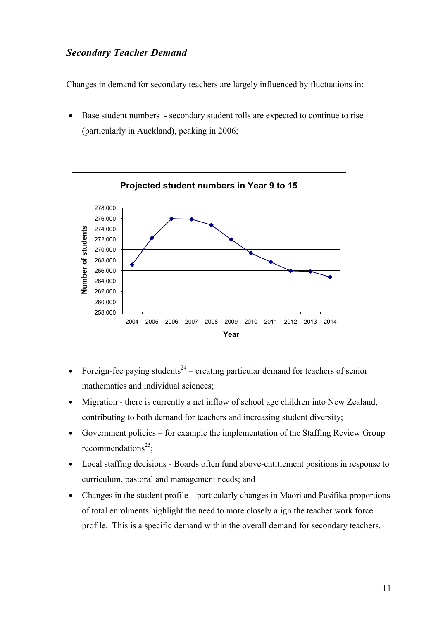## *Secondary Teacher Demand*

Changes in demand for secondary teachers are largely influenced by fluctuations in:

• Base student numbers - secondary student rolls are expected to continue to rise (particularly in Auckland), peaking in 2006;



- Foreign-fee paying students<sup>24</sup> creating particular demand for teachers of senior mathematics and individual sciences;
- Migration there is currently a net inflow of school age children into New Zealand, contributing to both demand for teachers and increasing student diversity;
- Government policies for example the implementation of the Staffing Review Group recommendations<sup>25</sup>;
- Local staffing decisions Boards often fund above-entitlement positions in response to curriculum, pastoral and management needs; and
- Changes in the student profile particularly changes in Maori and Pasifika proportions of total enrolments highlight the need to more closely align the teacher work force profile. This is a specific demand within the overall demand for secondary teachers.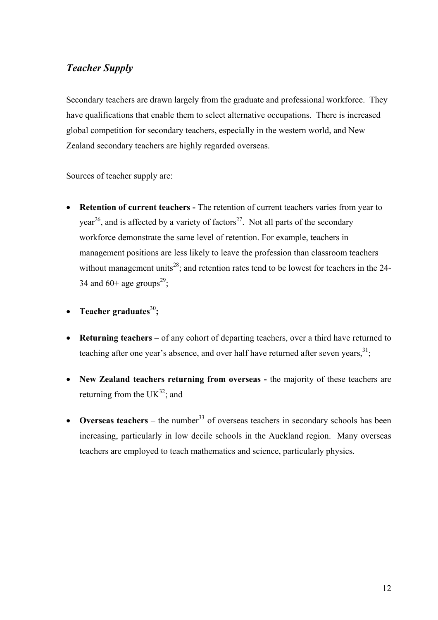## *Teacher Supply*

Secondary teachers are drawn largely from the graduate and professional workforce. They have qualifications that enable them to select alternative occupations. There is increased global competition for secondary teachers, especially in the western world, and New Zealand secondary teachers are highly regarded overseas.

Sources of teacher supply are:

- **Retention of current teachers** The retention of current teachers varies from year to year<sup>26</sup>, and is affected by a variety of factors<sup>27</sup>. Not all parts of the secondary workforce demonstrate the same level of retention. For example, teachers in management positions are less likely to leave the profession than classroom teachers without management units<sup>28</sup>; and retention rates tend to be lowest for teachers in the 24-34 and 60+ age groups<sup>29</sup>;
- **Teacher graduates**[30](#page-53-27)**;**
- **Returning teachers** of any cohort of departing teachers, over a third have returned to teaching after one year's absence, and over half have returned after seven years,  $31$ ;
- **New Zealand teachers returning from overseas** the majority of these teachers are returning from the  $UK^{32}$ ; and
- **Overseas teachers** the number<sup>33</sup> of overseas teachers in secondary schools has been increasing, particularly in low decile schools in the Auckland region. Many overseas teachers are employed to teach mathematics and science, particularly physics.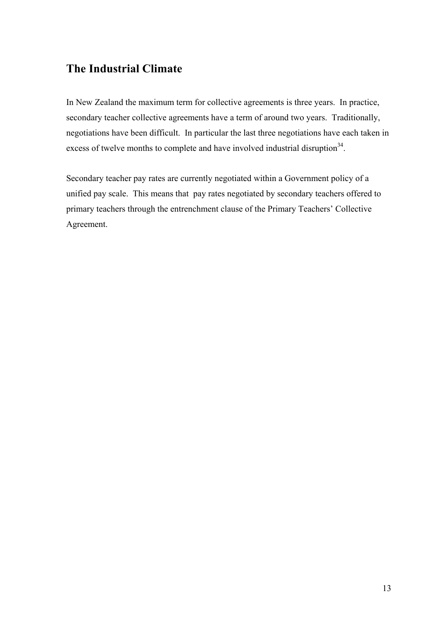## **The Industrial Climate**

In New Zealand the maximum term for collective agreements is three years. In practice, secondary teacher collective agreements have a term of around two years. Traditionally, negotiations have been difficult. In particular the last three negotiations have each taken in excess of twelve months to complete and have involved industrial disruption<sup>34</sup>.

Secondary teacher pay rates are currently negotiated within a Government policy of a unified pay scale. This means that pay rates negotiated by secondary teachers offered to primary teachers through the entrenchment clause of the Primary Teachers' Collective Agreement.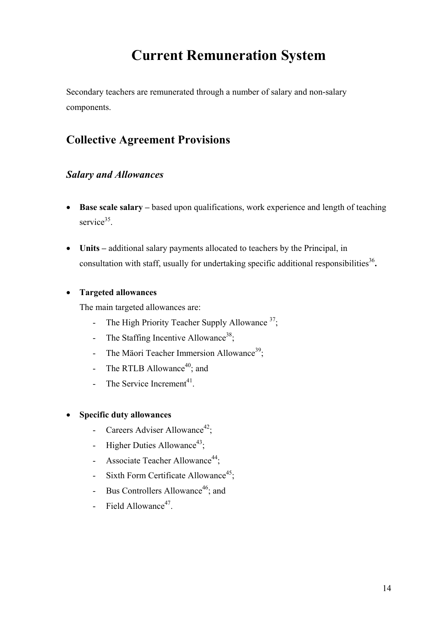# **Current Remuneration System**

Secondary teachers are remunerated through a number of salary and non-salary components.

## **Collective Agreement Provisions**

## *Salary and Allowances*

- **Base scale salary** based upon qualifications, work experience and length of teaching service $35$ .
- **Units** additional salary payments allocated to teachers by the Principal, in consultation with staff, usually for undertaking specific additional responsibilities<sup>36</sup>.

#### • **Targeted allowances**

The main targeted allowances are:

- The High Priority Teacher Supply Allowance  $37$ ;
- The Staffing Incentive Allowance<sup>38</sup>;
- The Mäori Teacher Immersion Allowance<sup>39</sup>;
- The RTLB Allowance $40$ ; and
- The Service Increment<sup>41</sup>.

#### • **Specific duty allowances**

- Careers Adviser Allowance<sup>42</sup>;
- Higher Duties Allowance<sup>43</sup>;
- Associate Teacher Allowance<sup>44</sup>:
- Sixth Form Certificate Allowance<sup>45</sup>;
- Bus Controllers Allowance<sup>46</sup>; and
- Field Allowance $47$ .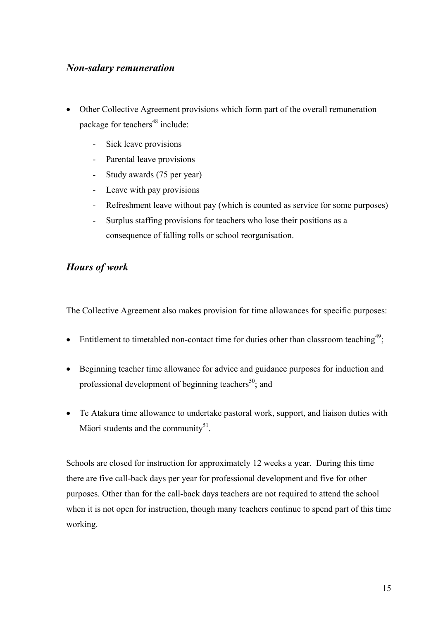## *Non-salary remuneration*

- Other Collective Agreement provisions which form part of the overall remuneration package for teachers<sup>48</sup> include:
	- Sick leave provisions
	- Parental leave provisions
	- Study awards (75 per year)
	- Leave with pay provisions
	- Refreshment leave without pay (which is counted as service for some purposes)
	- Surplus staffing provisions for teachers who lose their positions as a consequence of falling rolls or school reorganisation.

## *Hours of work*

The Collective Agreement also makes provision for time allowances for specific purposes:

- Entitlement to timetabled non-contact time for duties other than classroom teaching<sup>49</sup>;
- Beginning teacher time allowance for advice and guidance purposes for induction and professional development of beginning teachers<sup>50</sup>; and
- Te Atakura time allowance to undertake pastoral work, support, and liaison duties with Mäori students and the community $51$ .

Schools are closed for instruction for approximately 12 weeks a year. During this time there are five call-back days per year for professional development and five for other purposes. Other than for the call-back days teachers are not required to attend the school when it is not open for instruction, though many teachers continue to spend part of this time working.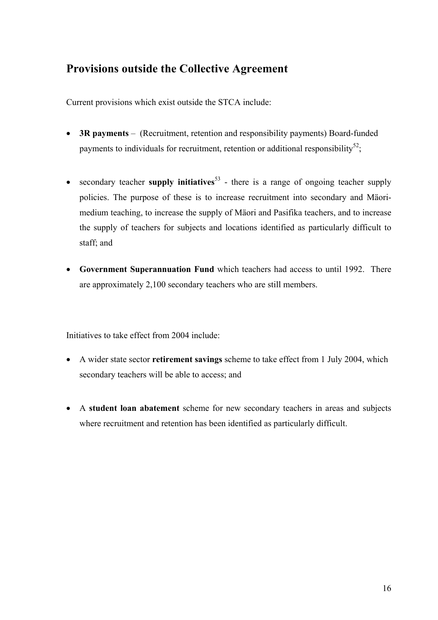## **Provisions outside the Collective Agreement**

Current provisions which exist outside the STCA include:

- **3R payments**  (Recruitment, retention and responsibility payments) Board-funded payments to individuals for recruitment, retention or additional responsibility<sup>52</sup>;
- secondary teacher **supply initiatives**<sup>53</sup> there is a range of ongoing teacher supply policies. The purpose of these is to increase recruitment into secondary and Mäorimedium teaching, to increase the supply of Mäori and Pasifika teachers, and to increase the supply of teachers for subjects and locations identified as particularly difficult to staff; and
- **Government Superannuation Fund** which teachers had access to until 1992. There are approximately 2,100 secondary teachers who are still members.

Initiatives to take effect from 2004 include:

- A wider state sector **retirement savings** scheme to take effect from 1 July 2004, which secondary teachers will be able to access; and
- A **student loan abatement** scheme for new secondary teachers in areas and subjects where recruitment and retention has been identified as particularly difficult.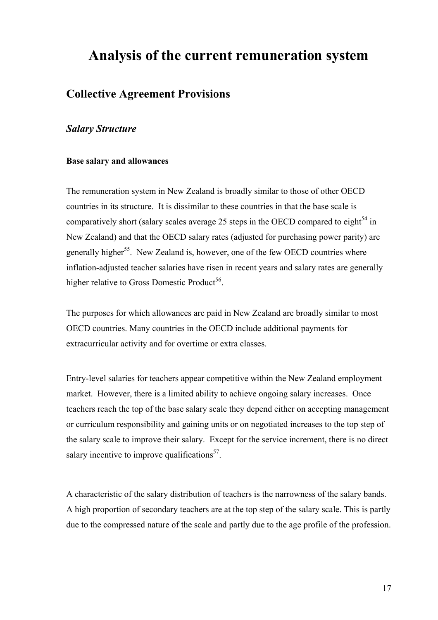## **Analysis of the current remuneration system**

## **Collective Agreement Provisions**

#### *Salary Structure*

#### **Base salary and allowances**

The remuneration system in New Zealand is broadly similar to those of other OECD countries in its structure. It is dissimilar to these countries in that the base scale is comparatively short (salary scales average 25 steps in the OECD compared to eight<sup>54</sup> in New Zealand) and that the OECD salary rates (adjusted for purchasing power parity) are generally higher<sup>55</sup>. New Zealand is, however, one of the few OECD countries where inflation-adjusted teacher salaries have risen in recent years and salary rates are generally higher relative to Gross Domestic Product<sup>56</sup>.

The purposes for which allowances are paid in New Zealand are broadly similar to most OECD countries. Many countries in the OECD include additional payments for extracurricular activity and for overtime or extra classes.

Entry-level salaries for teachers appear competitive within the New Zealand employment market. However, there is a limited ability to achieve ongoing salary increases. Once teachers reach the top of the base salary scale they depend either on accepting management or curriculum responsibility and gaining units or on negotiated increases to the top step of the salary scale to improve their salary. Except for the service increment, there is no direct salary incentive to improve qualifications $57$ .

A characteristic of the salary distribution of teachers is the narrowness of the salary bands. A high proportion of secondary teachers are at the top step of the salary scale. This is partly due to the compressed nature of the scale and partly due to the age profile of the profession.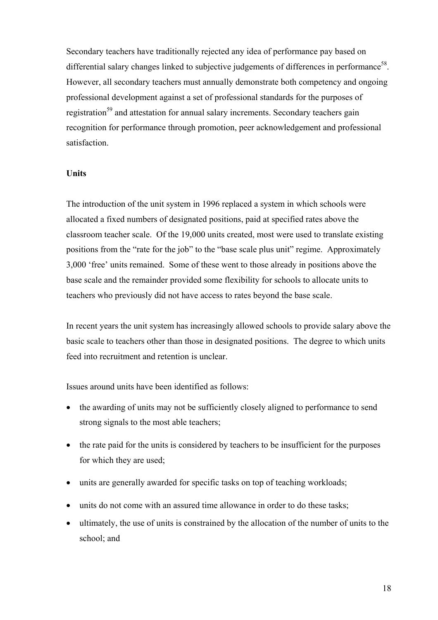Secondary teachers have traditionally rejected any idea of performance pay based on differential salary changes linked to subjective judgements of differences in performance<sup>58</sup>. However, all secondary teachers must annually demonstrate both competency and ongoing professional development against a set of professional standards for the purposes of registration<sup>59</sup> and attestation for annual salary increments. Secondary teachers gain recognition for performance through promotion, peer acknowledgement and professional satisfaction.

#### **Units**

The introduction of the unit system in 1996 replaced a system in which schools were allocated a fixed numbers of designated positions, paid at specified rates above the classroom teacher scale. Of the 19,000 units created, most were used to translate existing positions from the "rate for the job" to the "base scale plus unit" regime. Approximately 3,000 'free' units remained. Some of these went to those already in positions above the base scale and the remainder provided some flexibility for schools to allocate units to teachers who previously did not have access to rates beyond the base scale.

In recent years the unit system has increasingly allowed schools to provide salary above the basic scale to teachers other than those in designated positions. The degree to which units feed into recruitment and retention is unclear.

Issues around units have been identified as follows:

- the awarding of units may not be sufficiently closely aligned to performance to send strong signals to the most able teachers;
- the rate paid for the units is considered by teachers to be insufficient for the purposes for which they are used;
- units are generally awarded for specific tasks on top of teaching workloads;
- units do not come with an assured time allowance in order to do these tasks;
- ultimately, the use of units is constrained by the allocation of the number of units to the school; and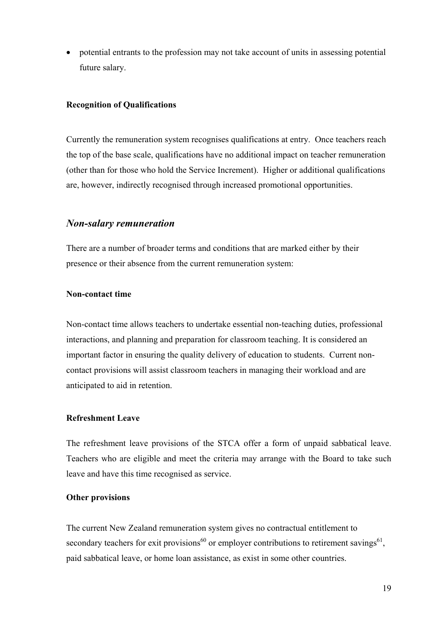• potential entrants to the profession may not take account of units in assessing potential future salary.

#### **Recognition of Qualifications**

Currently the remuneration system recognises qualifications at entry. Once teachers reach the top of the base scale, qualifications have no additional impact on teacher remuneration (other than for those who hold the Service Increment). Higher or additional qualifications are, however, indirectly recognised through increased promotional opportunities.

#### *Non-salary remuneration*

There are a number of broader terms and conditions that are marked either by their presence or their absence from the current remuneration system:

#### **Non-contact time**

Non-contact time allows teachers to undertake essential non-teaching duties, professional interactions, and planning and preparation for classroom teaching. It is considered an important factor in ensuring the quality delivery of education to students. Current noncontact provisions will assist classroom teachers in managing their workload and are anticipated to aid in retention.

#### **Refreshment Leave**

The refreshment leave provisions of the STCA offer a form of unpaid sabbatical leave. Teachers who are eligible and meet the criteria may arrange with the Board to take such leave and have this time recognised as service.

#### **Other provisions**

The current New Zealand remuneration system gives no contractual entitlement to secondary teachers for exit provisions<sup>60</sup> or employer contributions to retirement savings<sup>61</sup>, paid sabbatical leave, or home loan assistance, as exist in some other countries.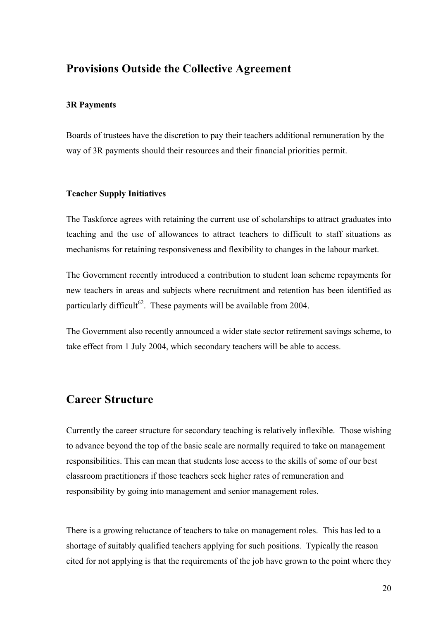## **Provisions Outside the Collective Agreement**

#### **3R Payments**

Boards of trustees have the discretion to pay their teachers additional remuneration by the way of 3R payments should their resources and their financial priorities permit.

#### **Teacher Supply Initiatives**

The Taskforce agrees with retaining the current use of scholarships to attract graduates into teaching and the use of allowances to attract teachers to difficult to staff situations as mechanisms for retaining responsiveness and flexibility to changes in the labour market.

The Government recently introduced a contribution to student loan scheme repayments for new teachers in areas and subjects where recruitment and retention has been identified as particularly difficult<sup>62</sup>. These payments will be available from 2004.

The Government also recently announced a wider state sector retirement savings scheme, to take effect from 1 July 2004, which secondary teachers will be able to access.

## **Career Structure**

Currently the career structure for secondary teaching is relatively inflexible. Those wishing to advance beyond the top of the basic scale are normally required to take on management responsibilities. This can mean that students lose access to the skills of some of our best classroom practitioners if those teachers seek higher rates of remuneration and responsibility by going into management and senior management roles.

There is a growing reluctance of teachers to take on management roles. This has led to a shortage of suitably qualified teachers applying for such positions. Typically the reason cited for not applying is that the requirements of the job have grown to the point where they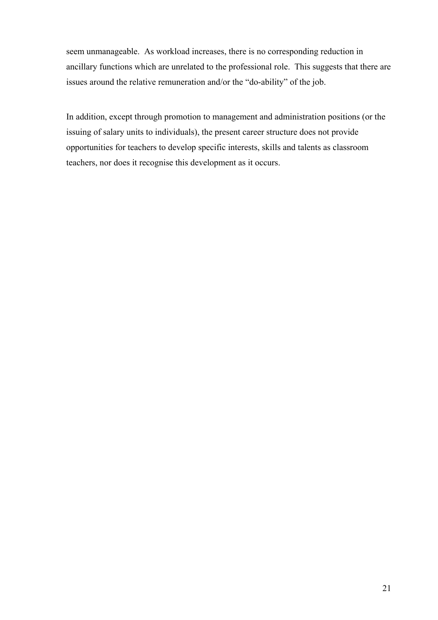seem unmanageable. As workload increases, there is no corresponding reduction in ancillary functions which are unrelated to the professional role. This suggests that there are issues around the relative remuneration and/or the "do-ability" of the job.

In addition, except through promotion to management and administration positions (or the issuing of salary units to individuals), the present career structure does not provide opportunities for teachers to develop specific interests, skills and talents as classroom teachers, nor does it recognise this development as it occurs.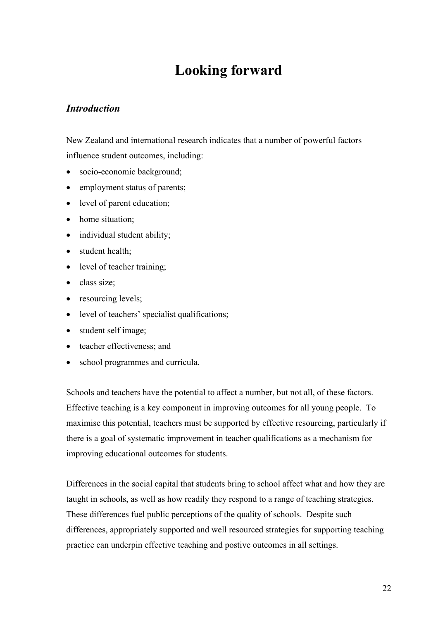# **Looking forward**

### *Introduction*

New Zealand and international research indicates that a number of powerful factors influence student outcomes, including:

- socio-economic background;
- employment status of parents;
- level of parent education;
- home situation:
- individual student ability;
- student health;
- level of teacher training;
- class size;
- resourcing levels;
- level of teachers' specialist qualifications;
- student self image;
- teacher effectiveness: and
- school programmes and curricula.

Schools and teachers have the potential to affect a number, but not all, of these factors. Effective teaching is a key component in improving outcomes for all young people. To maximise this potential, teachers must be supported by effective resourcing, particularly if there is a goal of systematic improvement in teacher qualifications as a mechanism for improving educational outcomes for students.

Differences in the social capital that students bring to school affect what and how they are taught in schools, as well as how readily they respond to a range of teaching strategies. These differences fuel public perceptions of the quality of schools. Despite such differences, appropriately supported and well resourced strategies for supporting teaching practice can underpin effective teaching and postive outcomes in all settings.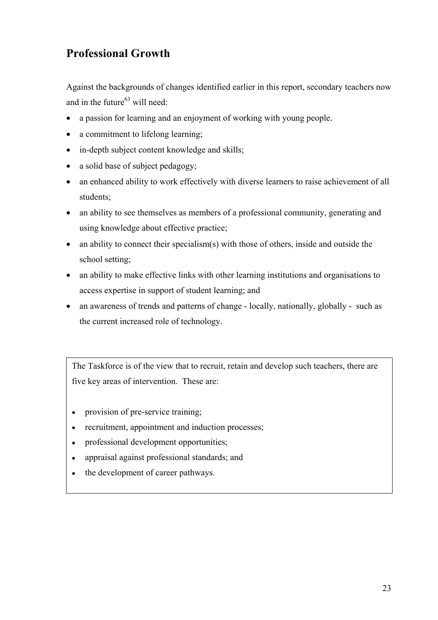## **Professional Growth**

Against the backgrounds of changes identified earlier in this report, secondary teachers now and in the future $^{63}$  will need:

- a passion for learning and an enjoyment of working with young people.
- a commitment to lifelong learning;
- in-depth subject content knowledge and skills;
- a solid base of subject pedagogy;
- an enhanced ability to work effectively with diverse learners to raise achievement of all students;
- an ability to see themselves as members of a professional community, generating and using knowledge about effective practice;
- an ability to connect their specialism(s) with those of others, inside and outside the school setting;
- an ability to make effective links with other learning institutions and organisations to access expertise in support of student learning; and
- an awareness of trends and patterns of change locally, nationally, globally such as the current increased role of technology.

The Taskforce is of the view that to recruit, retain and develop such teachers, there are five key areas of intervention. These are:

- provision of pre-service training;
- recruitment, appointment and induction processes;
- professional development opportunities;
- appraisal against professional standards; and
- the development of career pathways.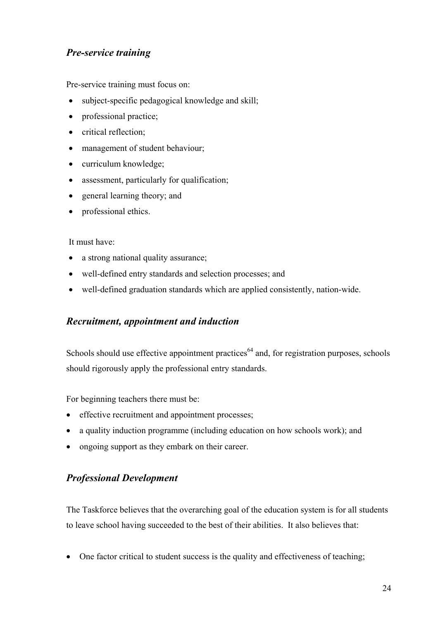## *Pre-service training*

Pre-service training must focus on:

- subject-specific pedagogical knowledge and skill;
- professional practice;
- critical reflection;
- management of student behaviour;
- curriculum knowledge;
- assessment, particularly for qualification;
- general learning theory; and
- professional ethics.

#### It must have:

- a strong national quality assurance;
- well-defined entry standards and selection processes; and
- well-defined graduation standards which are applied consistently, nation-wide.

### *Recruitment, appointment and induction*

Schools should use effective appointment practices<sup> $64$ </sup> and, for registration purposes, schools should rigorously apply the professional entry standards.

For beginning teachers there must be:

- effective recruitment and appointment processes;
- a quality induction programme (including education on how schools work); and
- ongoing support as they embark on their career.

## *Professional Development*

The Taskforce believes that the overarching goal of the education system is for all students to leave school having succeeded to the best of their abilities. It also believes that:

• One factor critical to student success is the quality and effectiveness of teaching;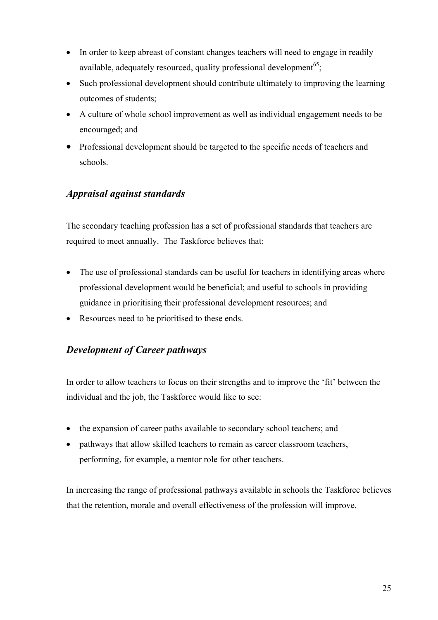- In order to keep abreast of constant changes teachers will need to engage in readily available, adequately resourced, quality professional development<sup>65</sup>;
- Such professional development should contribute ultimately to improving the learning outcomes of students;
- A culture of whole school improvement as well as individual engagement needs to be encouraged; and
- Professional development should be targeted to the specific needs of teachers and schools.

## *Appraisal against standards*

The secondary teaching profession has a set of professional standards that teachers are required to meet annually. The Taskforce believes that:

- The use of professional standards can be useful for teachers in identifying areas where professional development would be beneficial; and useful to schools in providing guidance in prioritising their professional development resources; and
- Resources need to be prioritised to these ends.

## *Development of Career pathways*

In order to allow teachers to focus on their strengths and to improve the 'fit' between the individual and the job, the Taskforce would like to see:

- the expansion of career paths available to secondary school teachers; and
- pathways that allow skilled teachers to remain as career classroom teachers, performing, for example, a mentor role for other teachers.

In increasing the range of professional pathways available in schools the Taskforce believes that the retention, morale and overall effectiveness of the profession will improve.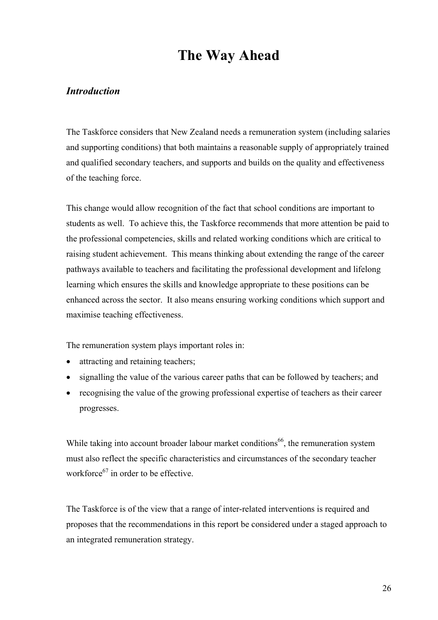# **The Way Ahead**

### *Introduction*

The Taskforce considers that New Zealand needs a remuneration system (including salaries and supporting conditions) that both maintains a reasonable supply of appropriately trained and qualified secondary teachers, and supports and builds on the quality and effectiveness of the teaching force.

This change would allow recognition of the fact that school conditions are important to students as well. To achieve this, the Taskforce recommends that more attention be paid to the professional competencies, skills and related working conditions which are critical to raising student achievement. This means thinking about extending the range of the career pathways available to teachers and facilitating the professional development and lifelong learning which ensures the skills and knowledge appropriate to these positions can be enhanced across the sector. It also means ensuring working conditions which support and maximise teaching effectiveness.

The remuneration system plays important roles in:

- attracting and retaining teachers;
- signalling the value of the various career paths that can be followed by teachers; and
- recognising the value of the growing professional expertise of teachers as their career progresses.

While taking into account broader labour market conditions<sup>66</sup>, the remuneration system must also reflect the specific characteristics and circumstances of the secondary teacher workforce $^{67}$  in order to be effective.

The Taskforce is of the view that a range of inter-related interventions is required and proposes that the recommendations in this report be considered under a staged approach to an integrated remuneration strategy.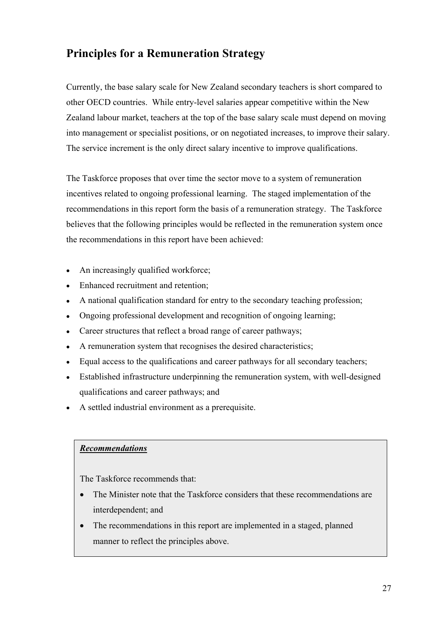## **Principles for a Remuneration Strategy**

Currently, the base salary scale for New Zealand secondary teachers is short compared to other OECD countries. While entry-level salaries appear competitive within the New Zealand labour market, teachers at the top of the base salary scale must depend on moving into management or specialist positions, or on negotiated increases, to improve their salary. The service increment is the only direct salary incentive to improve qualifications.

The Taskforce proposes that over time the sector move to a system of remuneration incentives related to ongoing professional learning. The staged implementation of the recommendations in this report form the basis of a remuneration strategy. The Taskforce believes that the following principles would be reflected in the remuneration system once the recommendations in this report have been achieved:

- An increasingly qualified workforce;
- Enhanced recruitment and retention;
- A national qualification standard for entry to the secondary teaching profession;
- Ongoing professional development and recognition of ongoing learning;
- Career structures that reflect a broad range of career pathways;
- A remuneration system that recognises the desired characteristics;
- Equal access to the qualifications and career pathways for all secondary teachers;
- Established infrastructure underpinning the remuneration system, with well-designed qualifications and career pathways; and
- A settled industrial environment as a prerequisite.

#### *Recommendations*

- The Minister note that the Taskforce considers that these recommendations are interdependent; and
- The recommendations in this report are implemented in a staged, planned manner to reflect the principles above.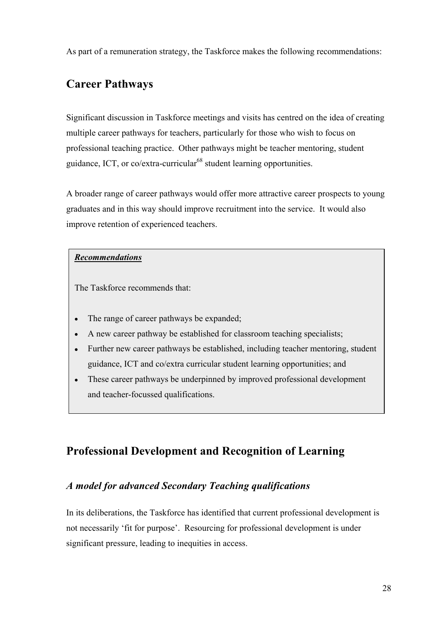As part of a remuneration strategy, the Taskforce makes the following recommendations:

## **Career Pathways**

Significant discussion in Taskforce meetings and visits has centred on the idea of creating multiple career pathways for teachers, particularly for those who wish to focus on professional teaching practice. Other pathways might be teacher mentoring, student guidance, ICT, or  $\frac{\text{co}}{\text{extra-curricular}}$ <sup>68</sup> student learning opportunities.

A broader range of career pathways would offer more attractive career prospects to young graduates and in this way should improve recruitment into the service. It would also improve retention of experienced teachers.

#### *Recommendations*

The Taskforce recommends that:

- The range of career pathways be expanded;
- A new career pathway be established for classroom teaching specialists;
- Further new career pathways be established, including teacher mentoring, student guidance, ICT and co/extra curricular student learning opportunities; and
- These career pathways be underpinned by improved professional development and teacher-focussed qualifications.

## **Professional Development and Recognition of Learning**

## *A model for advanced Secondary Teaching qualifications*

In its deliberations, the Taskforce has identified that current professional development is not necessarily 'fit for purpose'. Resourcing for professional development is under significant pressure, leading to inequities in access.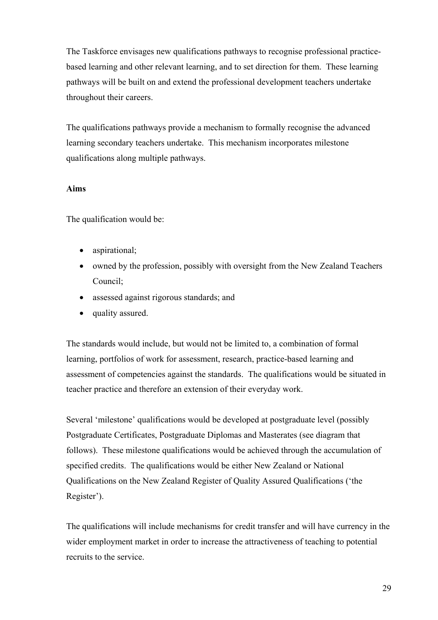The Taskforce envisages new qualifications pathways to recognise professional practicebased learning and other relevant learning, and to set direction for them. These learning pathways will be built on and extend the professional development teachers undertake throughout their careers.

The qualifications pathways provide a mechanism to formally recognise the advanced learning secondary teachers undertake. This mechanism incorporates milestone qualifications along multiple pathways.

#### **Aims**

The qualification would be:

- aspirational;
- owned by the profession, possibly with oversight from the New Zealand Teachers Council;
- assessed against rigorous standards; and
- quality assured.

The standards would include, but would not be limited to, a combination of formal learning, portfolios of work for assessment, research, practice-based learning and assessment of competencies against the standards. The qualifications would be situated in teacher practice and therefore an extension of their everyday work.

Several 'milestone' qualifications would be developed at postgraduate level (possibly Postgraduate Certificates, Postgraduate Diplomas and Masterates (see diagram that follows). These milestone qualifications would be achieved through the accumulation of specified credits. The qualifications would be either New Zealand or National Qualifications on the New Zealand Register of Quality Assured Qualifications ('the Register').

The qualifications will include mechanisms for credit transfer and will have currency in the wider employment market in order to increase the attractiveness of teaching to potential recruits to the service.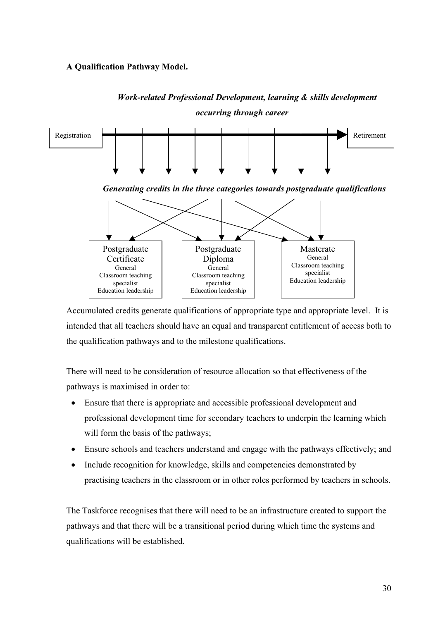#### **A Qualification Pathway Model.**



*Work-related Professional Development, learning & skills development occurring through career* 

Accumulated credits generate qualifications of appropriate type and appropriate level. It is intended that all teachers should have an equal and transparent entitlement of access both to the qualification pathways and to the milestone qualifications.

There will need to be consideration of resource allocation so that effectiveness of the pathways is maximised in order to:

- Ensure that there is appropriate and accessible professional development and professional development time for secondary teachers to underpin the learning which will form the basis of the pathways;
- Ensure schools and teachers understand and engage with the pathways effectively; and
- Include recognition for knowledge, skills and competencies demonstrated by practising teachers in the classroom or in other roles performed by teachers in schools.

The Taskforce recognises that there will need to be an infrastructure created to support the pathways and that there will be a transitional period during which time the systems and qualifications will be established.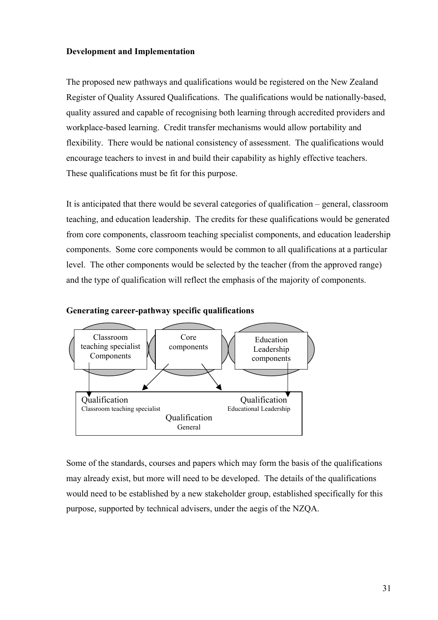#### **Development and Implementation**

The proposed new pathways and qualifications would be registered on the New Zealand Register of Quality Assured Qualifications. The qualifications would be nationally-based, quality assured and capable of recognising both learning through accredited providers and workplace-based learning. Credit transfer mechanisms would allow portability and flexibility. There would be national consistency of assessment. The qualifications would encourage teachers to invest in and build their capability as highly effective teachers. These qualifications must be fit for this purpose.

It is anticipated that there would be several categories of qualification – general, classroom teaching, and education leadership. The credits for these qualifications would be generated from core components, classroom teaching specialist components, and education leadership components. Some core components would be common to all qualifications at a particular level. The other components would be selected by the teacher (from the approved range) and the type of qualification will reflect the emphasis of the majority of components.





Some of the standards, courses and papers which may form the basis of the qualifications may already exist, but more will need to be developed. The details of the qualifications would need to be established by a new stakeholder group, established specifically for this purpose, supported by technical advisers, under the aegis of the NZQA.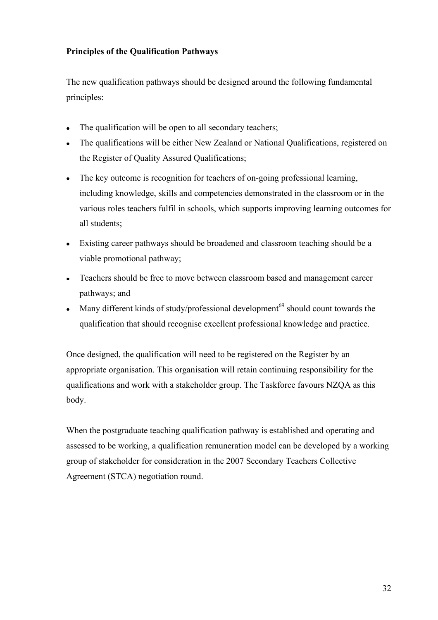#### **Principles of the Qualification Pathways**

The new qualification pathways should be designed around the following fundamental principles:

- The qualification will be open to all secondary teachers;
- The qualifications will be either New Zealand or National Qualifications, registered on the Register of Quality Assured Qualifications;
- The key outcome is recognition for teachers of on-going professional learning, including knowledge, skills and competencies demonstrated in the classroom or in the various roles teachers fulfil in schools, which supports improving learning outcomes for all students;
- Existing career pathways should be broadened and classroom teaching should be a viable promotional pathway;
- Teachers should be free to move between classroom based and management career pathways; and
- $\bullet$ Many different kinds of study/professional development<sup>69</sup> should count towards the qualification that should recognise excellent professional knowledge and practice.

Once designed, the qualification will need to be registered on the Register by an appropriate organisation. This organisation will retain continuing responsibility for the qualifications and work with a stakeholder group. The Taskforce favours NZQA as this body.

When the postgraduate teaching qualification pathway is established and operating and assessed to be working, a qualification remuneration model can be developed by a working group of stakeholder for consideration in the 2007 Secondary Teachers Collective Agreement (STCA) negotiation round.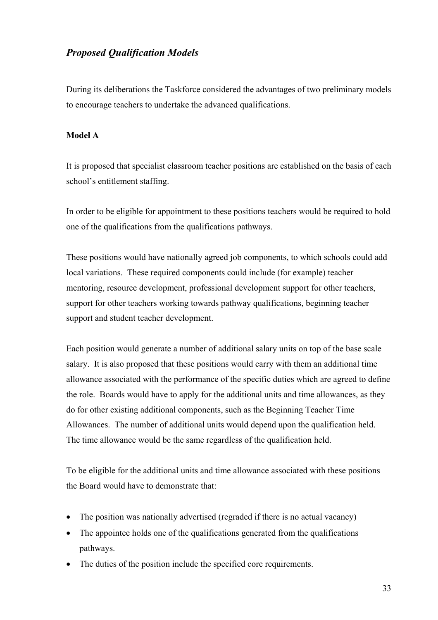## *Proposed Qualification Models*

During its deliberations the Taskforce considered the advantages of two preliminary models to encourage teachers to undertake the advanced qualifications.

#### **Model A**

It is proposed that specialist classroom teacher positions are established on the basis of each school's entitlement staffing.

In order to be eligible for appointment to these positions teachers would be required to hold one of the qualifications from the qualifications pathways.

These positions would have nationally agreed job components, to which schools could add local variations. These required components could include (for example) teacher mentoring, resource development, professional development support for other teachers, support for other teachers working towards pathway qualifications, beginning teacher support and student teacher development.

Each position would generate a number of additional salary units on top of the base scale salary. It is also proposed that these positions would carry with them an additional time allowance associated with the performance of the specific duties which are agreed to define the role. Boards would have to apply for the additional units and time allowances, as they do for other existing additional components, such as the Beginning Teacher Time Allowances. The number of additional units would depend upon the qualification held. The time allowance would be the same regardless of the qualification held.

To be eligible for the additional units and time allowance associated with these positions the Board would have to demonstrate that:

- The position was nationally advertised (regraded if there is no actual vacancy)
- The appointee holds one of the qualifications generated from the qualifications pathways.
- The duties of the position include the specified core requirements.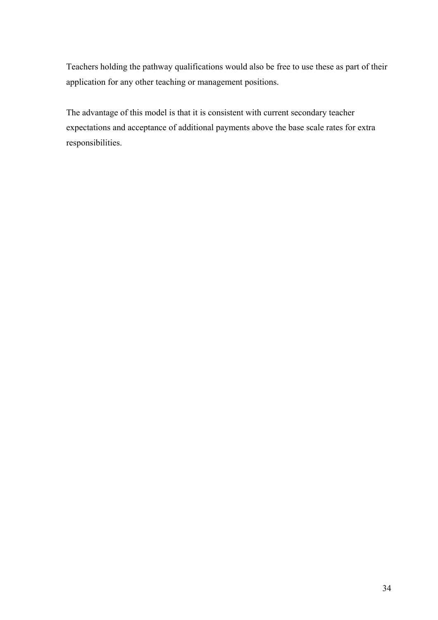Teachers holding the pathway qualifications would also be free to use these as part of their application for any other teaching or management positions.

The advantage of this model is that it is consistent with current secondary teacher expectations and acceptance of additional payments above the base scale rates for extra responsibilities.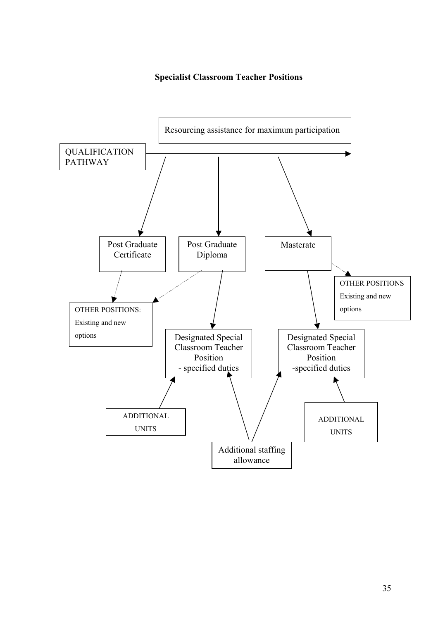#### **Specialist Classroom Teacher Positions**

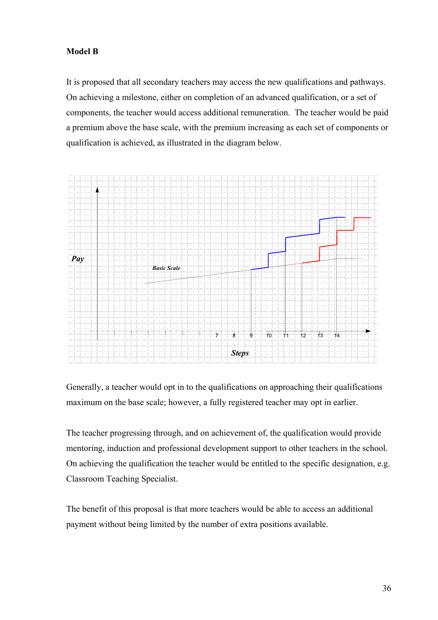#### **Model B**

It is proposed that all secondary teachers may access the new qualifications and pathways. On achieving a milestone, either on completion of an advanced qualification, or a set of components, the teacher would access additional remuneration. The teacher would be paid a premium above the base scale, with the premium increasing as each set of components or qualification is achieved, as illustrated in the diagram below.



Generally, a teacher would opt in to the qualifications on approaching their qualifications maximum on the base scale; however, a fully registered teacher may opt in earlier.

The teacher progressing through, and on achievement of, the qualification would provide mentoring, induction and professional development support to other teachers in the school. On achieving the qualification the teacher would be entitled to the specific designation, e.g. Classroom Teaching Specialist.

The benefit of this proposal is that more teachers would be able to access an additional payment without being limited by the number of extra positions available.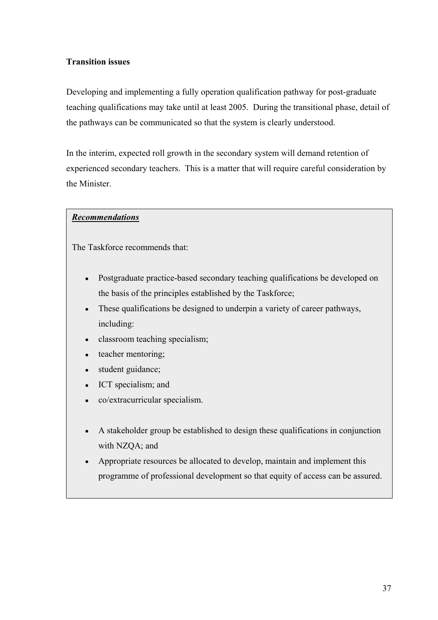#### **Transition issues**

Developing and implementing a fully operation qualification pathway for post-graduate teaching qualifications may take until at least 2005. During the transitional phase, detail of the pathways can be communicated so that the system is clearly understood.

In the interim, expected roll growth in the secondary system will demand retention of experienced secondary teachers. This is a matter that will require careful consideration by the Minister.

#### *Recommendations*

- Postgraduate practice-based secondary teaching qualifications be developed on the basis of the principles established by the Taskforce;
- These qualifications be designed to underpin a variety of career pathways, including:
- classroom teaching specialism;
- teacher mentoring;
- student guidance;
- ICT specialism; and
- co/extracurricular specialism.
- A stakeholder group be established to design these qualifications in conjunction with NZQA; and
- Appropriate resources be allocated to develop, maintain and implement this programme of professional development so that equity of access can be assured.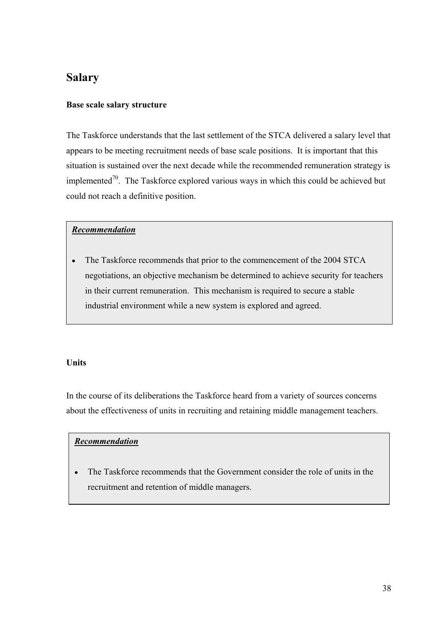## **Salary**

#### **Base scale salary structure**

The Taskforce understands that the last settlement of the STCA delivered a salary level that appears to be meeting recruitment needs of base scale positions. It is important that this situation is sustained over the next decade while the recommended remuneration strategy is implemented<sup>70</sup>. The Taskforce explored various ways in which this could be achieved but could not reach a definitive position.

### *Recommendation*

• The Taskforce recommends that prior to the commencement of the 2004 STCA negotiations, an objective mechanism be determined to achieve security for teachers in their current remuneration. This mechanism is required to secure a stable industrial environment while a new system is explored and agreed.

### **Units**

In the course of its deliberations the Taskforce heard from a variety of sources concerns about the effectiveness of units in recruiting and retaining middle management teachers.

### *Recommendation*

The Taskforce recommends that the Government consider the role of units in the recruitment and retention of middle managers.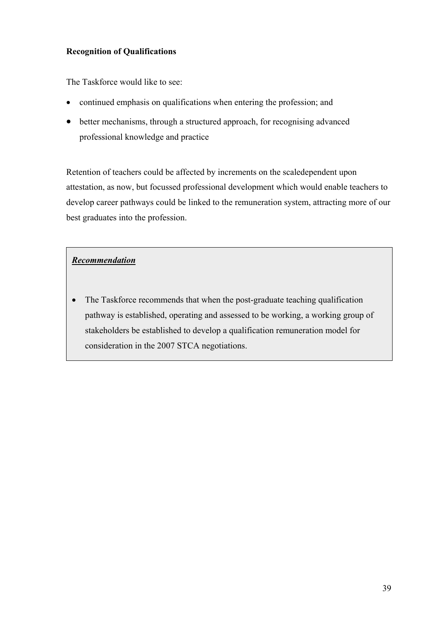### **Recognition of Qualifications**

The Taskforce would like to see:

- continued emphasis on qualifications when entering the profession; and
- better mechanisms, through a structured approach, for recognising advanced professional knowledge and practice

Retention of teachers could be affected by increments on the scaledependent upon attestation, as now, but focussed professional development which would enable teachers to develop career pathways could be linked to the remuneration system, attracting more of our best graduates into the profession.

### *Recommendation*

• The Taskforce recommends that when the post-graduate teaching qualification pathway is established, operating and assessed to be working, a working group of stakeholders be established to develop a qualification remuneration model for consideration in the 2007 STCA negotiations.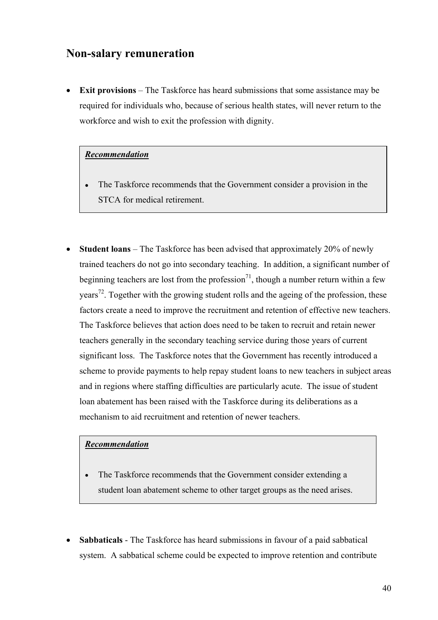## **Non-salary remuneration**

**Exit provisions** – The Taskforce has heard submissions that some assistance may be required for individuals who, because of serious health states, will never return to the workforce and wish to exit the profession with dignity.

#### *Recommendation*

- The Taskforce recommends that the Government consider a provision in the STCA for medical retirement.
- **Student loans** The Taskforce has been advised that approximately 20% of newly trained teachers do not go into secondary teaching. In addition, a significant number of beginning teachers are lost from the profession<sup>71</sup>, though a number return within a few years<sup>72</sup>. Together with the growing student rolls and the ageing of the profession, these factors create a need to improve the recruitment and retention of effective new teachers. The Taskforce believes that action does need to be taken to recruit and retain newer teachers generally in the secondary teaching service during those years of current significant loss. The Taskforce notes that the Government has recently introduced a scheme to provide payments to help repay student loans to new teachers in subject areas and in regions where staffing difficulties are particularly acute. The issue of student loan abatement has been raised with the Taskforce during its deliberations as a mechanism to aid recruitment and retention of newer teachers.

#### *Recommendation*

- The Taskforce recommends that the Government consider extending a student loan abatement scheme to other target groups as the need arises.
- **Sabbaticals** The Taskforce has heard submissions in favour of a paid sabbatical system. A sabbatical scheme could be expected to improve retention and contribute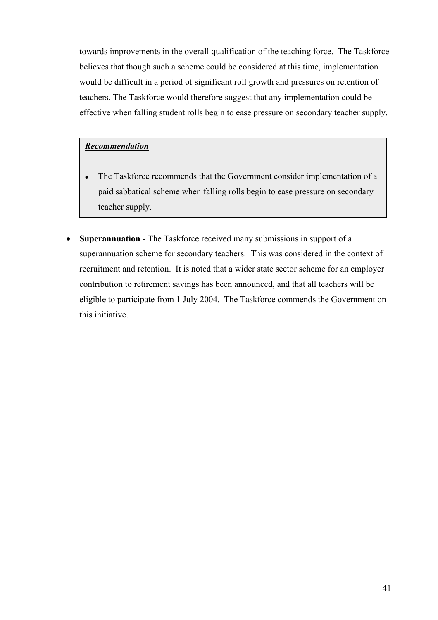towards improvements in the overall qualification of the teaching force. The Taskforce believes that though such a scheme could be considered at this time, implementation would be difficult in a period of significant roll growth and pressures on retention of teachers. The Taskforce would therefore suggest that any implementation could be effective when falling student rolls begin to ease pressure on secondary teacher supply.

#### *Recommendation*

- The Taskforce recommends that the Government consider implementation of a paid sabbatical scheme when falling rolls begin to ease pressure on secondary teacher supply.
- **Superannuation** The Taskforce received many submissions in support of a superannuation scheme for secondary teachers. This was considered in the context of recruitment and retention. It is noted that a wider state sector scheme for an employer contribution to retirement savings has been announced, and that all teachers will be eligible to participate from 1 July 2004. The Taskforce commends the Government on this initiative.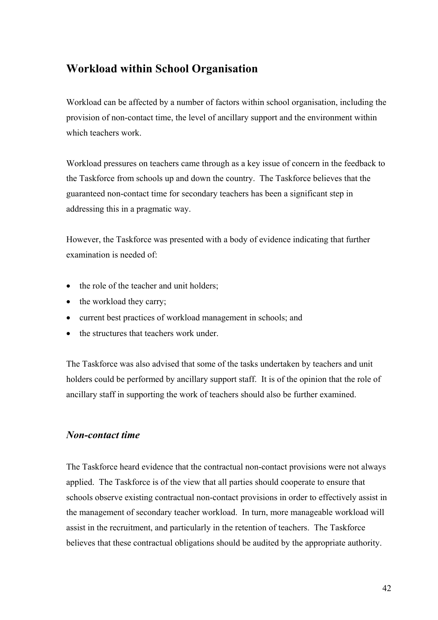## **Workload within School Organisation**

Workload can be affected by a number of factors within school organisation, including the provision of non-contact time, the level of ancillary support and the environment within which teachers work.

Workload pressures on teachers came through as a key issue of concern in the feedback to the Taskforce from schools up and down the country. The Taskforce believes that the guaranteed non-contact time for secondary teachers has been a significant step in addressing this in a pragmatic way.

However, the Taskforce was presented with a body of evidence indicating that further examination is needed of:

- the role of the teacher and unit holders;
- the workload they carry;
- current best practices of workload management in schools; and
- the structures that teachers work under.

The Taskforce was also advised that some of the tasks undertaken by teachers and unit holders could be performed by ancillary support staff. It is of the opinion that the role of ancillary staff in supporting the work of teachers should also be further examined.

#### *Non-contact time*

The Taskforce heard evidence that the contractual non-contact provisions were not always applied. The Taskforce is of the view that all parties should cooperate to ensure that schools observe existing contractual non-contact provisions in order to effectively assist in the management of secondary teacher workload. In turn, more manageable workload will assist in the recruitment, and particularly in the retention of teachers. The Taskforce believes that these contractual obligations should be audited by the appropriate authority.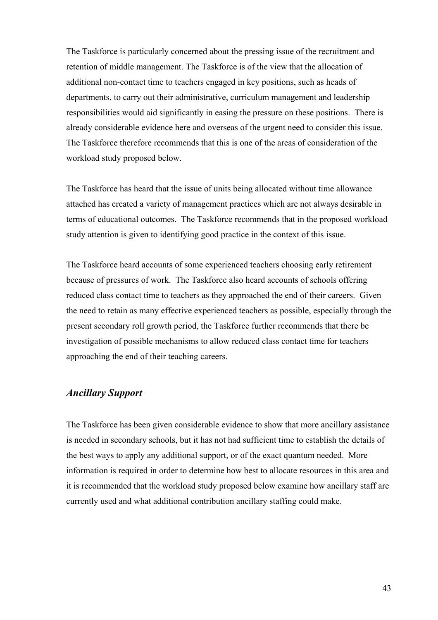The Taskforce is particularly concerned about the pressing issue of the recruitment and retention of middle management. The Taskforce is of the view that the allocation of additional non-contact time to teachers engaged in key positions, such as heads of departments, to carry out their administrative, curriculum management and leadership responsibilities would aid significantly in easing the pressure on these positions. There is already considerable evidence here and overseas of the urgent need to consider this issue. The Taskforce therefore recommends that this is one of the areas of consideration of the workload study proposed below.

The Taskforce has heard that the issue of units being allocated without time allowance attached has created a variety of management practices which are not always desirable in terms of educational outcomes. The Taskforce recommends that in the proposed workload study attention is given to identifying good practice in the context of this issue.

The Taskforce heard accounts of some experienced teachers choosing early retirement because of pressures of work. The Taskforce also heard accounts of schools offering reduced class contact time to teachers as they approached the end of their careers. Given the need to retain as many effective experienced teachers as possible, especially through the present secondary roll growth period, the Taskforce further recommends that there be investigation of possible mechanisms to allow reduced class contact time for teachers approaching the end of their teaching careers.

### *Ancillary Support*

The Taskforce has been given considerable evidence to show that more ancillary assistance is needed in secondary schools, but it has not had sufficient time to establish the details of the best ways to apply any additional support, or of the exact quantum needed. More information is required in order to determine how best to allocate resources in this area and it is recommended that the workload study proposed below examine how ancillary staff are currently used and what additional contribution ancillary staffing could make.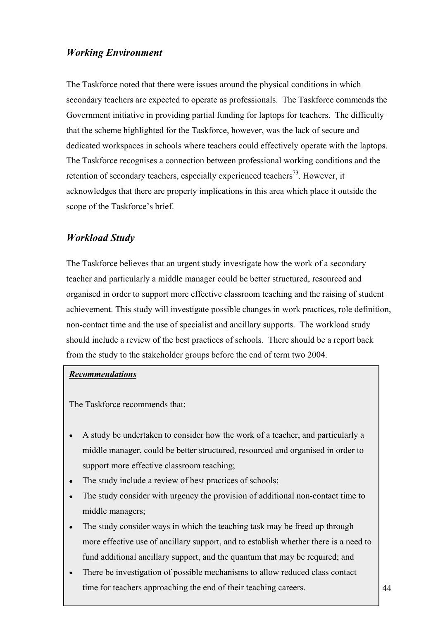## *Working Environment*

The Taskforce noted that there were issues around the physical conditions in which secondary teachers are expected to operate as professionals. The Taskforce commends the Government initiative in providing partial funding for laptops for teachers. The difficulty that the scheme highlighted for the Taskforce, however, was the lack of secure and dedicated workspaces in schools where teachers could effectively operate with the laptops. The Taskforce recognises a connection between professional working conditions and the retention of secondary teachers, especially experienced teachers<sup>73</sup>. However, it acknowledges that there are property implications in this area which place it outside the scope of the Taskforce's brief.

## *Workload Study*

The Taskforce believes that an urgent study investigate how the work of a secondary teacher and particularly a middle manager could be better structured, resourced and organised in order to support more effective classroom teaching and the raising of student achievement. This study will investigate possible changes in work practices, role definition, non-contact time and the use of specialist and ancillary supports. The workload study should include a review of the best practices of schools. There should be a report back from the study to the stakeholder groups before the end of term two 2004.

#### *Recommendations*

- A study be undertaken to consider how the work of a teacher, and particularly a middle manager, could be better structured, resourced and organised in order to support more effective classroom teaching;
- The study include a review of best practices of schools;
- The study consider with urgency the provision of additional non-contact time to middle managers;
- fund additional ancillary support, and the quantum that may be required; and The study consider ways in which the teaching task may be freed up through more effective use of ancillary support, and to establish whether there is a need to
- There be investigation of possible mechanisms to allow reduced class contact time for teachers approaching the end of their teaching careers.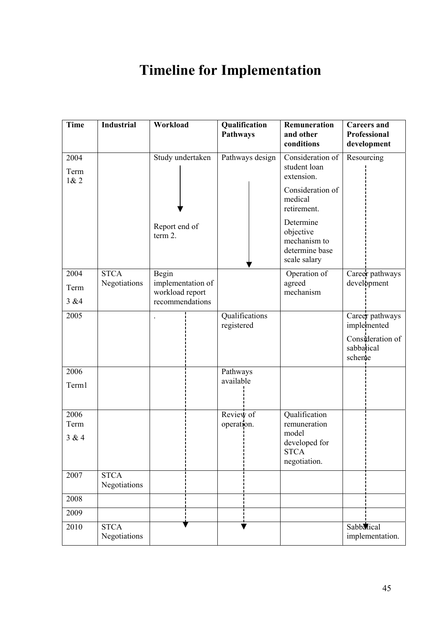# **Timeline for Implementation**

| <b>Time</b>          | <b>Industrial</b>           | Workload                                                | Qualification<br>Pathways    | Remuneration<br>and other<br>conditions                                  | <b>Careers</b> and<br>Professional<br>development |  |
|----------------------|-----------------------------|---------------------------------------------------------|------------------------------|--------------------------------------------------------------------------|---------------------------------------------------|--|
| 2004<br>Term<br>1& 2 |                             | Study undertaken                                        | Pathways design              | Consideration of<br>student loan<br>extension.                           | Resourcing                                        |  |
|                      |                             |                                                         |                              | Consideration of<br>medical<br>retirement.                               |                                                   |  |
|                      |                             | Report end of<br>term 2.                                |                              | Determine<br>objective<br>mechanism to<br>determine base<br>scale salary |                                                   |  |
| 2004                 | <b>STCA</b>                 | Begin                                                   |                              | Operation of                                                             | Career pathways                                   |  |
| Term<br>3 & 4        | Negotiations                | implementation of<br>workload report<br>recommendations |                              | agreed<br>mechanism                                                      | development                                       |  |
|                      |                             |                                                         |                              |                                                                          |                                                   |  |
| 2005                 |                             |                                                         | Qualifications<br>registered |                                                                          | Career pathways<br>implemented                    |  |
|                      |                             |                                                         |                              |                                                                          | Consideration of<br>sabbatical<br>scheme          |  |
| 2006                 |                             |                                                         | Pathways                     |                                                                          |                                                   |  |
| Term1                |                             |                                                         | available                    |                                                                          |                                                   |  |
| 2006                 |                             |                                                         | Review of                    | Qualification                                                            |                                                   |  |
| Term                 |                             |                                                         | operation.                   | remuneration<br>model                                                    |                                                   |  |
| 3 & 4                |                             |                                                         |                              | developed for<br><b>STCA</b><br>negotiation.                             |                                                   |  |
| 2007                 | <b>STCA</b><br>Negotiations |                                                         |                              |                                                                          |                                                   |  |
| 2008                 |                             |                                                         |                              |                                                                          |                                                   |  |
| 2009                 |                             |                                                         |                              |                                                                          |                                                   |  |
| 2010                 | <b>STCA</b><br>Negotiations |                                                         |                              |                                                                          | Sabbatical<br>implementation.                     |  |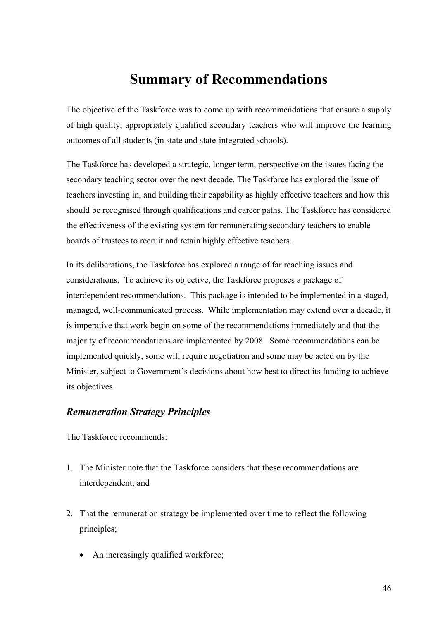# **Summary of Recommendations**

The objective of the Taskforce was to come up with recommendations that ensure a supply of high quality, appropriately qualified secondary teachers who will improve the learning outcomes of all students (in state and state-integrated schools).

The Taskforce has developed a strategic, longer term, perspective on the issues facing the secondary teaching sector over the next decade. The Taskforce has explored the issue of teachers investing in, and building their capability as highly effective teachers and how this should be recognised through qualifications and career paths. The Taskforce has considered the effectiveness of the existing system for remunerating secondary teachers to enable boards of trustees to recruit and retain highly effective teachers.

In its deliberations, the Taskforce has explored a range of far reaching issues and considerations. To achieve its objective, the Taskforce proposes a package of interdependent recommendations. This package is intended to be implemented in a staged, managed, well-communicated process. While implementation may extend over a decade, it is imperative that work begin on some of the recommendations immediately and that the majority of recommendations are implemented by 2008. Some recommendations can be implemented quickly, some will require negotiation and some may be acted on by the Minister, subject to Government's decisions about how best to direct its funding to achieve its objectives.

### *Remuneration Strategy Principles*

- 1. The Minister note that the Taskforce considers that these recommendations are interdependent; and
- 2. That the remuneration strategy be implemented over time to reflect the following principles;
	- An increasingly qualified workforce;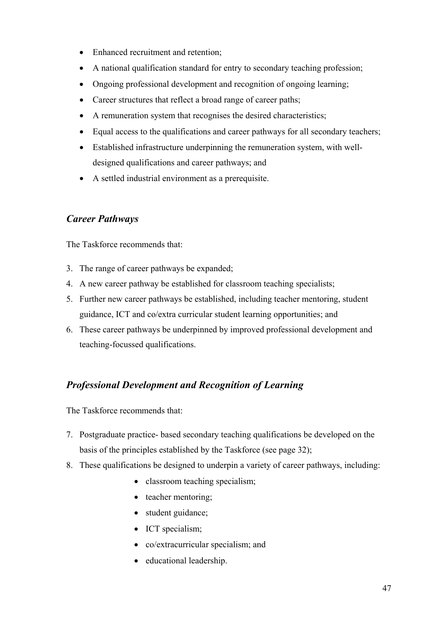- Enhanced recruitment and retention;
- A national qualification standard for entry to secondary teaching profession;
- Ongoing professional development and recognition of ongoing learning;
- Career structures that reflect a broad range of career paths;
- A remuneration system that recognises the desired characteristics;
- Equal access to the qualifications and career pathways for all secondary teachers;
- Established infrastructure underpinning the remuneration system, with welldesigned qualifications and career pathways; and
- A settled industrial environment as a prerequisite.

## *Career Pathways*

The Taskforce recommends that:

- 3. The range of career pathways be expanded;
- 4. A new career pathway be established for classroom teaching specialists;
- 5. Further new career pathways be established, including teacher mentoring, student guidance, ICT and co/extra curricular student learning opportunities; and
- 6. These career pathways be underpinned by improved professional development and teaching-focussed qualifications.

## *Professional Development and Recognition of Learning*

- 7. Postgraduate practice- based secondary teaching qualifications be developed on the basis of the principles established by the Taskforce (see page 32);
- 8. These qualifications be designed to underpin a variety of career pathways, including:
	- classroom teaching specialism;
	- teacher mentoring:
	- student guidance;
	- ICT specialism;
	- co/extracurricular specialism; and
	- educational leadership.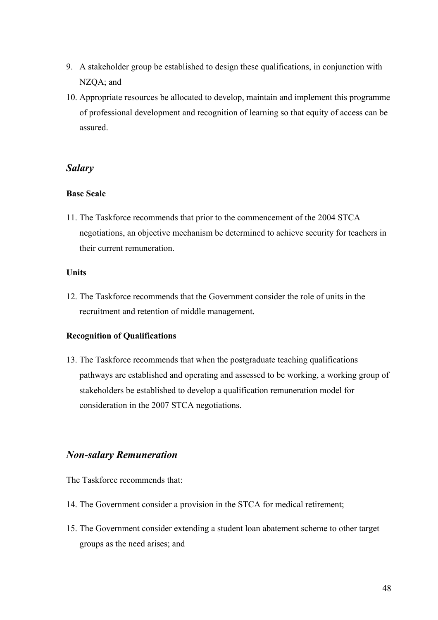- 9. A stakeholder group be established to design these qualifications, in conjunction with NZQA; and
- 10. Appropriate resources be allocated to develop, maintain and implement this programme of professional development and recognition of learning so that equity of access can be assured.

#### *Salary*

#### **Base Scale**

11. The Taskforce recommends that prior to the commencement of the 2004 STCA negotiations, an objective mechanism be determined to achieve security for teachers in their current remuneration.

#### **Units**

12. The Taskforce recommends that the Government consider the role of units in the recruitment and retention of middle management.

#### **Recognition of Qualifications**

13. The Taskforce recommends that when the postgraduate teaching qualifications pathways are established and operating and assessed to be working, a working group of stakeholders be established to develop a qualification remuneration model for consideration in the 2007 STCA negotiations.

#### *Non-salary Remuneration*

- 14. The Government consider a provision in the STCA for medical retirement;
- 15. The Government consider extending a student loan abatement scheme to other target groups as the need arises; and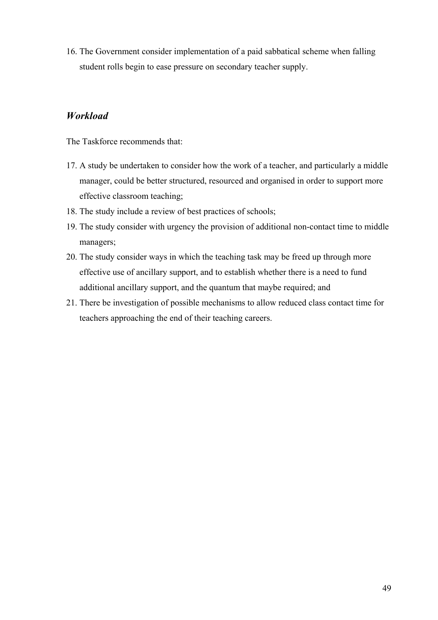16. The Government consider implementation of a paid sabbatical scheme when falling student rolls begin to ease pressure on secondary teacher supply.

### *Workload*

- 17. A study be undertaken to consider how the work of a teacher, and particularly a middle manager, could be better structured, resourced and organised in order to support more effective classroom teaching;
- 18. The study include a review of best practices of schools;
- 19. The study consider with urgency the provision of additional non-contact time to middle managers;
- 20. The study consider ways in which the teaching task may be freed up through more effective use of ancillary support, and to establish whether there is a need to fund additional ancillary support, and the quantum that maybe required; and
- 21. There be investigation of possible mechanisms to allow reduced class contact time for teachers approaching the end of their teaching careers.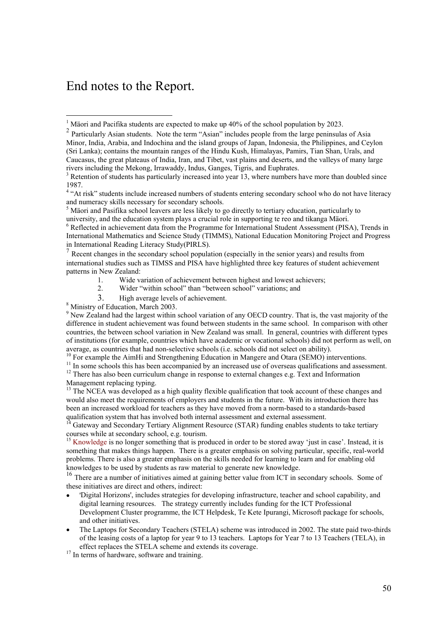## End notes to the Report.

Recent changes in the secondary school population (especially in the senior years) and results from international studies such as TIMSS and PISA have highlighted three key features of student achievement patterns in New Zealand:

- 1. Wide variation of achievement between highest and lowest achievers;<br>2. Wider "within school" than "between school" variations: and
- Wider "within school" than "between school" variations; and
- 3. High average levels of achievement.
- 8 Ministry of Education, March 2003.

<sup>9</sup> New Zealand had the largest within school variation of any OECD country. That is, the vast majority of the difference in student achievement was found between students in the same school. In comparison with other countries, the between school variation in New Zealand was small. In general, countries with different types of institutions (for example, countries which have academic or vocational schools) did not perform as well, on average, as countries that had non-selective schools (i.e. schools did not select on ability).<br><sup>10</sup> For example the AimHi and Strengthening Education in Mangere and Otara (SEMO) interventions.

<sup>11</sup> In some schools this has been accompanied by an increased use of overseas qualifications and assessment.<br><sup>12</sup> There has also been curriculum change in response to external changes e.g. Text and Information Management replacing typing.

 $13$  The NCEA was developed as a high quality flexible qualification that took account of these changes and would also meet the requirements of employers and students in the future. With its introduction there has been an increased workload for teachers as they have moved from a norm-based to a standards-based qualification system that has involved both internal assessment and external assessment.

<sup>14</sup> Gateway and Secondary Tertiary Alignment Resource (STAR) funding enables students to take tertiary courses while at secondary school, e.g. tourism.

<sup>15</sup> Knowledge is no longer something that is produced in order to be stored away 'just in case'. Instead, it is something that makes things happen. There is a greater emphasis on solving particular, specific, real-world problems. There is also a greater emphasis on the skills needed for learning to learn and for enabling old knowledges to be used by students as raw material to generate new knowledge.

<sup>16</sup> There are a number of initiatives aimed at gaining better value from ICT in secondary schools. Some of these initiatives are direct and others, indirect:

- 'Digital Horizons', includes strategies for developing infrastructure, teacher and school capability, and digital learning resources. The strategy currently includes funding for the ICT Professional Development Cluster programme, the ICT Helpdesk, Te Kete Ipurangi, Microsoft package for schools, and other initiatives.
- The Laptops for Secondary Teachers (STELA) scheme was introduced in 2002. The state paid two-thirds of the leasing costs of a laptop for year 9 to 13 teachers. Laptops for Year 7 to 13 Teachers (TELA), in effect replaces the STELA scheme and extends its coverage.

 $17$  In terms of hardware, software and training.

<sup>&</sup>lt;sup>1</sup> Mäori and Pacifika students are expected to make up 40% of the school population by 2023.

<sup>&</sup>lt;sup>2</sup> Particularly Asian students. Note the term "Asian" includes people from the large peninsulas of Asia Minor, India, Arabia, and Indochina and the island groups of Japan, Indonesia, the Philippines, and Ceylon (Sri Lanka); contains the mountain ranges of the Hindu Kush, Himalayas, Pamirs, Tian Shan, Urals, and Caucasus, the great plateaus of India, Iran, and Tibet, vast plains and deserts, and the valleys of many large rivers including the Mekong, Irrawaddy, Indus, Ganges, Tigris, and Euphrates. 3

 $3$  Retention of students has particularly increased into year 13, where numbers have more than doubled since 1987.

<sup>&</sup>lt;sup>4</sup> "At risk" students include increased numbers of students entering secondary school who do not have literacy and numeracy skills necessary for secondary schools. 5

Mäori and Pasifika school leavers are less likely to go directly to tertiary education, particularly to university, and the education system plays a crucial role in supporting te reo and tikanga Mäori.

<sup>&</sup>lt;sup>6</sup> Reflected in achievement data from the Programme for International Student Assessment (PISA), Trends in International Mathematics and Science Study (TIMMS), National Education Monitoring Project and Progress in International Reading Literacy Study(PIRLS).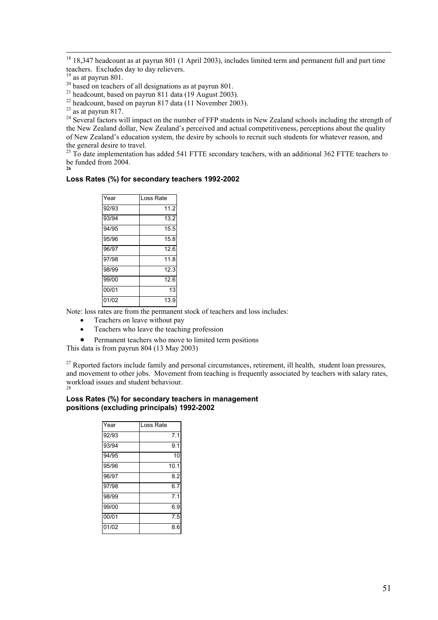<sup>18</sup> 18,347 headcount as at payrun 801 (1 April 2003), includes limited term and permanent full and part time teachers. Excludes day to day relievers.

 $\frac{19}{20}$  as at payrun 801.<br> $\frac{20}{20}$  based on teachers of all designations as at payrun 801.

<sup>21</sup> headcount, based on payrun 811 data (19 August 2003).

 $^{22}$  headcount, based on payrun 817 data (11 November 2003).

<sup>24</sup> Several factors will impact on the number of FFP students in New Zealand schools including the strength of the New Zealand dollar, New Zealand's perceived and actual competitiveness, perceptions about the quality of New Zealand's education system, the desire by schools to recruit such students for whatever reason, and the general desire to travel.

 $25$  To date implementation has added 541 FTTE secondary teachers, with an additional 362 FTTE teachers to be funded from 2004. **26** 

#### **Loss Rates (%) for secondary teachers 1992-2002**

| Year  | Loss Rate |
|-------|-----------|
| 92/93 | 11.2      |
| 93/94 | 13.2      |
| 94/95 | 15.5      |
| 95/96 | 15.8      |
| 96/97 | 12.6      |
| 97/98 | 11.8      |
| 98/99 | 12.3      |
| 99/00 | 12.6      |
| 00/01 | 13        |
| 01/02 | 13.9      |

Note: loss rates are from the permanent stock of teachers and loss includes:

- Teachers on leave without pay
- Teachers who leave the teaching profession
- Permanent teachers who move to limited term positions

This data is from payrun 804 (13 May 2003)

<sup>27</sup> Reported factors include family and personal circumstances, retirement, ill health, student loan pressures, and movement to other jobs. Movement from teaching is frequently associated by teachers with salary rates, workload issues and student behaviour. 28

#### **Loss Rates (%) for secondary teachers in management positions (excluding principals) 1992-2002**

| Year  | Loss Rate |
|-------|-----------|
| 92/93 | 7.1       |
| 93/94 | 9.1       |
| 94/95 | 10        |
| 95/96 | 10.1      |
| 96/97 | 8.2       |
| 97/98 | 6.7       |
| 98/99 | 7.1       |
| 99/00 | 6.9       |
| 00/01 | 7.5       |
| 01/02 | 8.6       |

 $^{23}$  as at payrun 817.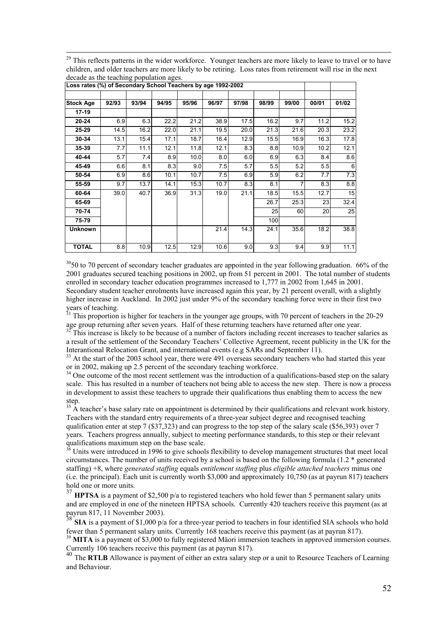| <sup>29</sup> This reflects patterns in the wider workforce. Younger teachers are more likely to leave to travel or to have |
|-----------------------------------------------------------------------------------------------------------------------------|
| children, and older teachers are more likely to be retiring. Loss rates from retirement will rise in the next               |
| decade as the teaching population ages.                                                                                     |

| Loss rates (%) of Secondary School Teachers by age 1992-2002 |       |       |       |       |       |       |       |       |       |       |
|--------------------------------------------------------------|-------|-------|-------|-------|-------|-------|-------|-------|-------|-------|
|                                                              |       |       |       |       |       |       |       |       |       |       |
| <b>Stock Age</b>                                             | 92/93 | 93/94 | 94/95 | 95/96 | 96/97 | 97/98 | 98/99 | 99/00 | 00/01 | 01/02 |
| 17-19                                                        |       |       |       |       |       |       |       |       |       |       |
| $20 - 24$                                                    | 6.9   | 6.3   | 22.2  | 21.2  | 38.9  | 17.5  | 16.2  | 9.7   | 11.2  | 15.2  |
| 25-29                                                        | 14.5  | 16.2  | 22.0  | 21.1  | 19.5  | 20.0  | 21.3  | 21.6  | 20.3  | 23.2  |
| 30-34                                                        | 13.1  | 15.4  | 17.1  | 18.7  | 16.4  | 12.9  | 15.5  | 16.9  | 16.3  | 17.8  |
| 35-39                                                        | 7.7   | 11.1  | 12.1  | 11.8  | 12.1  | 8.3   | 8.8   | 10.9  | 10.2  | 12.1  |
| 40-44                                                        | 5.7   | 7.4   | 8.9   | 10.0  | 8.0   | 6.0   | 6.9   | 6.3   | 8.4   | 8.6   |
| 45-49                                                        | 6.6   | 8.1   | 8.3   | 9.0   | 7.5   | 5.7   | 5.5   | 5.2   | 5.5   | 6     |
| 50-54                                                        | 6.9   | 8.6   | 10.1  | 10.7  | 7.5   | 6.9   | 5.9   | 6.2   | 7.7   | 7.3   |
| 55-59                                                        | 9.7   | 13.7  | 14.1  | 15.3  | 10.7  | 8.3   | 8.1   |       | 8.3   | 8.8   |
| 60-64                                                        | 39.0  | 40.7  | 36.9  | 31.3  | 19.0  | 21.1  | 18.5  | 15.5  | 12.7  | 15    |
| 65-69                                                        |       |       |       |       |       |       | 26.7  | 25.3  | 23    | 32.4  |
| 70-74                                                        |       |       |       |       |       |       | 25    | 60    | 20    | 25    |
| 75-79                                                        |       |       |       |       |       |       | 100   |       |       |       |
| <b>Unknown</b>                                               |       |       |       |       | 21.4  | 14.3  | 24.1  | 35.6  | 18.2  | 38.8  |
|                                                              |       |       |       |       |       |       |       |       |       |       |
| <b>TOTAL</b>                                                 | 8.8   | 10.9  | 12.5  | 12.9  | 10.6  | 9.0   | 9.3   | 9.4   | 9.9   | 11.1  |

 $3050$  to 70 percent of secondary teacher graduates are appointed in the year following graduation. 66% of the 2001 graduates secured teaching positions in 2002, up from 51 percent in 2001. The total number of students enrolled in secondary teacher education programmes increased to 1,777 in 2002 from 1,645 in 2001. Secondary student teacher enrolments have increased again this year, by 21 percent overall, with a slightly higher increase in Auckland. In 2002 just under 9% of the secondary teaching force were in their first two years of teaching.

<sup>31</sup> This proportion is higher for teachers in the younger age groups, with 70 percent of teachers in the 20-29 age group returning after seven years. Half of these returning teachers have returned after one year.

 $32$  This increase is likely to be because of a number of factors including recent increases to teacher salaries as a result of the settlement of the Secondary Teachers' Collective Agreement, recent publicity in the UK for the Interantional Relocation Grant, and international events (e.g SARs and September 11).

<sup>33</sup> At the start of the 2003 school year, there were 491 overseas secondary teachers who had started this year or in 2002, making up 2.5 percent of the secondary teaching workforce.

<sup>34</sup> One outcome of the most recent settlement was the introduction of a qualifications-based step on the salary scale. This has resulted in a number of teachers not being able to access the new step. There is now a process in development to assist these teachers to upgrade their qualifications thus enabling them to access the new step.

<sup>35</sup> A teacher's base salary rate on appointment is determined by their qualifications and relevant work history. Teachers with the standard entry requirements of a three-year subject degree and recognised teaching qualification enter at step 7 (\$37,323) and can progress to the top step of the salary scale (\$56,393) over 7 years. Teachers progress annually, subject to meeting performance standards, to this step or their relevant qualifications maximum step on the base scale.

<sup>36</sup> Units were introduced in 1996 to give schools flexibility to develop management structures that meet local circumstances. The number of units received by a school is based on the following formula (1.2 \* generated staffing) +8, where *generated staffing* equals *entitlement staffing* plus *eligible attached teachers* minus one (i.e. the principal). Each unit is currently worth \$3,000 and approximately 10,750 (as at payrun 817) teachers hold one or more units.

HPTSA is a payment of \$2,500 p/a to registered teachers who hold fewer than 5 permanent salary units and are employed in one of the nineteen HPTSA schools.Currently 420 teachers receive this payment (as at payrun 817, 11 November 2003).

<sup>38</sup> SIA is a payment of \$1,000 p/a for a three-year period to teachers in four identified SIA schools who hold fewer than 5 permanent salary units. Currently 168 teachers receive this payment (as at payrun 817).

<sup>39</sup> MITA is a payment of \$3,000 to fully registered Mäori immersion teachers in approved immersion courses. Currently 106 teachers receive this payment (as at payrun 817).

<sup>40</sup> The **RTLB** Allowance is payment of either an extra salary step or a unit to Resource Teachers of Learning and Behaviour.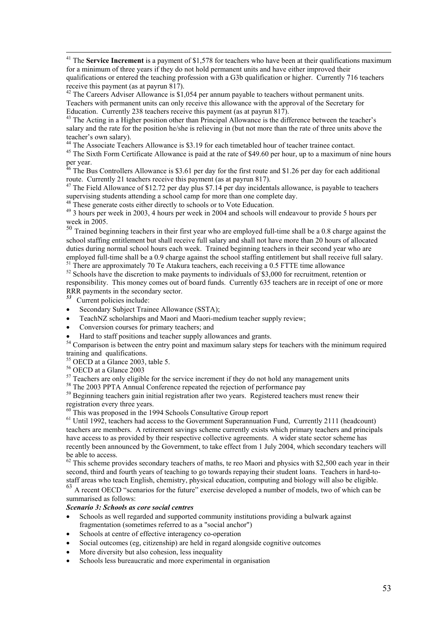<sup>41</sup> The **Service Increment** is a payment of \$1,578 for teachers who have been at their qualifications maximum for a minimum of three years if they do not hold permanent units and have either improved their

qualifications or entered the teaching profession with a G3b qualification or higher. Currently 716 teachers receive this payment (as at payrun 817).

 $42$  The Careers Adviser Allowance is \$1,054 per annum payable to teachers without permanent units. Teachers with permanent units can only receive this allowance with the approval of the Secretary for Education. Currently 238 teachers receive this payment (as at payrun 817).

<sup>43</sup> The Acting in a Higher position other than Principal Allowance is the difference between the teacher's salary and the rate for the position he/she is relieving in (but not more than the rate of three units above the teacher's own salary).

<sup>44</sup> The Associate Teachers Allowance is \$3.19 for each timetabled hour of teacher trainee contact.

<sup>45</sup> The Sixth Form Certificate Allowance is paid at the rate of \$49.60 per hour, up to a maximum of nine hours per year.

 $^{46}$  The Bus Controllers Allowance is \$3.61 per day for the first route and \$1.26 per day for each additional route. Currently 21 teachers receive this payment (as at payrun 817).

<sup>47</sup> The Field Allowance of \$12.72 per day plus \$7.14 per day incidentals allowance, is payable to teachers supervising students attending a school camp for more than one complete day.

<sup>48</sup> These generate costs either directly to schools or to Vote Education.

<sup>49</sup> 3 hours per week in 2003, 4 hours per week in 2004 and schools will endeavour to provide 5 hours per week in 2005.

 $50$  Trained beginning teachers in their first year who are employed full-time shall be a 0.8 charge against the school staffing entitlement but shall receive full salary and shall not have more than 20 hours of allocated duties during normal school hours each week. Trained beginning teachers in their second year who are employed full-time shall be a 0.9 charge against the school staffing entitlement but shall receive full salary.<br><sup>51</sup> There are approximately 70 Te Atakura teachers, each receiving a 0.5 FTTE time allowance

 $52$  Schools have the discretion to make payments to individuals of \$3,000 for recruitment, retention or responsibility. This money comes out of board funds. Currently 635 teachers are in receipt of one or more RRR payments in the secondary sector.

*53* Current policies include:

- Secondary Subject Trainee Allowance (SSTA);
- TeachNZ scholarships and Maori and Maori-medium teacher supply review;
- Conversion courses for primary teachers; and
- Hard to staff positions and teacher supply allowances and grants.

<sup>54</sup> Comparison is between the entry point and maximum salary steps for teachers with the minimum required training and qualifications.

<sup>55</sup> OECD at a Glance 2003, table 5.

56 OECD at a Glance 2003

 $57$  Teachers are only eligible for the service increment if they do not hold any management units

58 The 2003 PPTA Annual Conference repeated the rejection of performance pay

<sup>59</sup> Beginning teachers gain initial registration after two years. Registered teachers must renew their registration every three years.

 $60$  This was proposed in the 1994 Schools Consultative Group report

 $<sup>61</sup>$  Until 1992, teachers had access to the Government Superannuation Fund, Currently 2111 (headcount)</sup> teachers are members. A retirement savings scheme currently exists which primary teachers and principals have access to as provided by their respective collective agreements. A wider state sector scheme has recently been announced by the Government, to take effect from 1 July 2004, which secondary teachers will be able to access.

 $62$  This scheme provides secondary teachers of maths, te reo Maori and physics with \$2,500 each year in their second, third and fourth years of teaching to go towards repaying their student loans. Teachers in hard-tostaff areas who teach English, chemistry, physical education, computing and biology will also be eligible.

<sup>63</sup> A recent OECD "scenarios for the future" exercise developed a number of models, two of which can be summarised as follows:

#### *Scenario 3: Schools as core social centres*

- Schools as well regarded and supported community institutions providing a bulwark against fragmentation (sometimes referred to as a "social anchor")
- Schools at centre of effective interagency co-operation
- Social outcomes (eg, citizenship) are held in regard alongside cognitive outcomes
- More diversity but also cohesion, less inequality
- Schools less bureaucratic and more experimental in organisation